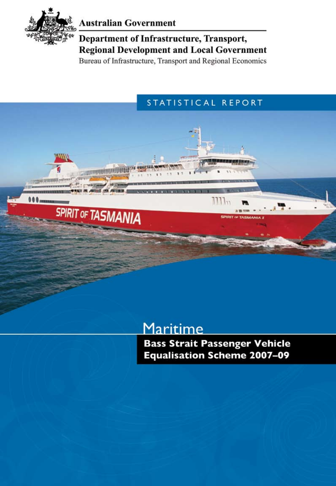

**Alla** 

**000** 

**Communications** 

**SPIRIT OF TASMANIA** 

### **Australian Government**

Department of Infrastructure, Transport, **Regional Development and Local Government** 

Bureau of Infrastructure, Transport and Regional Economics

### STATISTICAL REPORT

## Maritime

**Bass Strait Passenger Vehicle Equalisation Scheme 2007-09**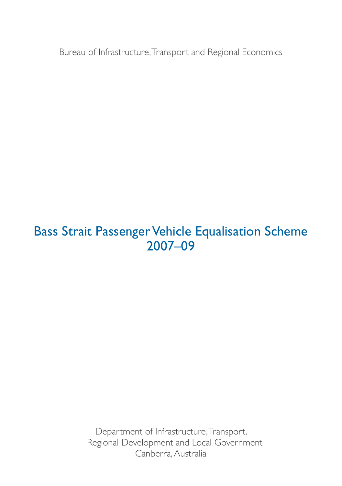Bureau of Infrastructure, Transport and Regional Economics

## Bass Strait Passenger Vehicle Equalisation Scheme 2007–09

Department of Infrastructure, Transport, Regional Development and Local Government Canberra, Australia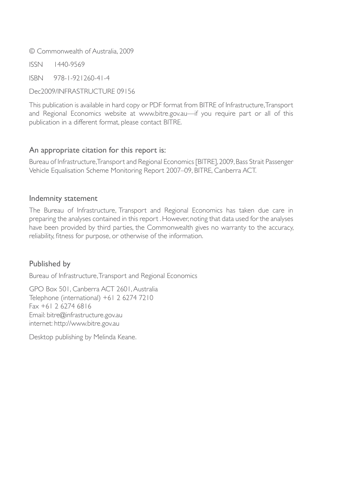© Commonwealth of Australia, 2009

ISSN 1440-9569

ISBN 978-1-921260-41-4

Dec2009/INFRASTRUCTURE 09156

This publication is available in hard copy or PDF format from BITRE of Infrastructure, Transport and Regional Economics website at www.bitre.gov.au—if you require part or all of this publication in a different format, please contact BITRE.

#### An appropriate citation for this report is:

Bureau of Infrastructure, Transport and Regional Economics [BITRE], 2009, Bass Strait Passenger Vehicle Equalisation Scheme Monitoring Report 2007–09, BITRE, Canberra ACT.

#### Indemnity statement

The Bureau of Infrastructure, Transport and Regional Economics has taken due care in preparing the analyses contained in this report . However, noting that data used for the analyses have been provided by third parties, the Commonwealth gives no warranty to the accuracy, reliability, fitness for purpose, or otherwise of the information.

#### Published by

Bureau of Infrastructure, Transport and Regional Economics

GPO Box 501, Canberra ACT 2601, Australia Telephone (international) +61 2 6274 7210 Fax +61 2 6274 6816 Email: bitre@infrastructure.gov.au internet: http://www.bitre.gov.au

Desktop publishing by Melinda Keane.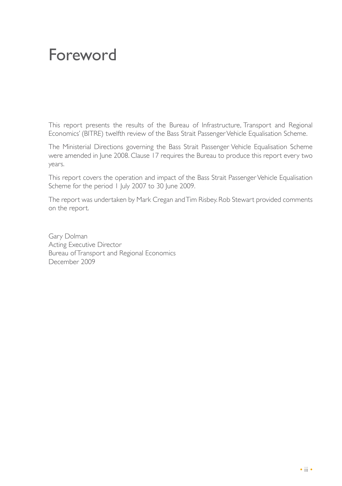## Foreword

This report presents the results of the Bureau of Infrastructure, Transport and Regional Economics' (BITRE) twelfth review of the Bass Strait Passenger Vehicle Equalisation Scheme.

The Ministerial Directions governing the Bass Strait Passenger Vehicle Equalisation Scheme were amended in June 2008. Clause 17 requires the Bureau to produce this report every two years.

This report covers the operation and impact of the Bass Strait Passenger Vehicle Equalisation Scheme for the period 1 July 2007 to 30 June 2009.

The report was undertaken by Mark Cregan and Tim Risbey. Rob Stewart provided comments on the report.

Gary Dolman Acting Executive Director Bureau of Transport and Regional Economics December 2009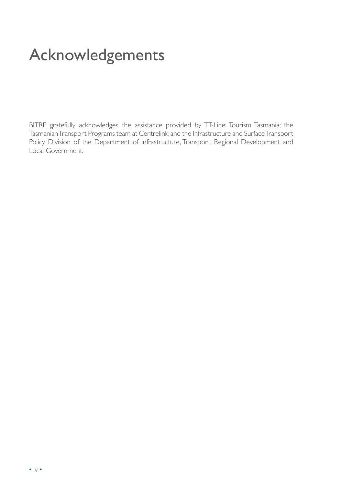## Acknowledgements

BITRE gratefully acknowledges the assistance provided by TT-Line; Tourism Tasmania; the Tasmanian Transport Programs team at Centrelink; and the Infrastructure and Surface Transport Policy Division of the Department of Infrastructure, Transport, Regional Development and Local Government.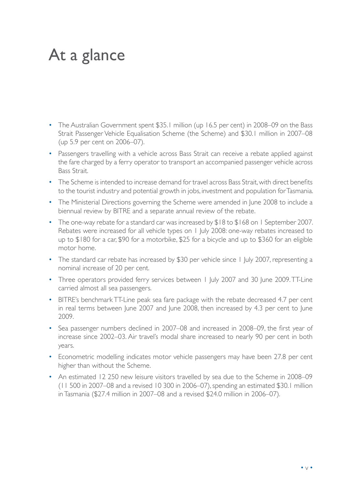## At a glance

- The Australian Government spent \$35.1 million (up 16.5 per cent) in 2008–09 on the Bass Strait Passenger Vehicle Equalisation Scheme (the Scheme) and \$30.1 million in 2007–08 (up 5.9 per cent on 2006–07).
- Passengers travelling with a vehicle across Bass Strait can receive a rebate applied against the fare charged by a ferry operator to transport an accompanied passenger vehicle across Bass Strait.
- The Scheme is intended to increase demand for travel across Bass Strait, with direct benefits to the tourist industry and potential growth in jobs, investment and population for Tasmania.
- The Ministerial Directions governing the Scheme were amended in June 2008 to include a biennual review by BITRE and a separate annual review of the rebate.
- The one-way rebate for a standard car was increased by \$18 to \$168 on 1 September 2007. Rebates were increased for all vehicle types on 1 July 2008: one-way rebates increased to up to \$180 for a car, \$90 for a motorbike, \$25 for a bicycle and up to \$360 for an eligible motor home.
- The standard car rebate has increased by \$30 per vehicle since 1 July 2007, representing a nominal increase of 20 per cent.
- Three operators provided ferry services between 1 July 2007 and 30 June 2009. TT-Line carried almost all sea passengers.
- BITRE's benchmark TT-Line peak sea fare package with the rebate decreased 4.7 per cent in real terms between June 2007 and June 2008, then increased by 4.3 per cent to June 2009.
- Sea passenger numbers declined in 2007–08 and increased in 2008–09, the first year of increase since 2002–03. Air travel's modal share increased to nearly 90 per cent in both years.
- Econometric modelling indicates motor vehicle passengers may have been 27.8 per cent higher than without the Scheme.
- An estimated 12 250 new leisure visitors travelled by sea due to the Scheme in 2008–09 (11 500 in 2007–08 and a revised 10 300 in 2006–07), spending an estimated \$30.1 million in Tasmania (\$27.4 million in 2007–08 and a revised \$24.0 million in 2006–07).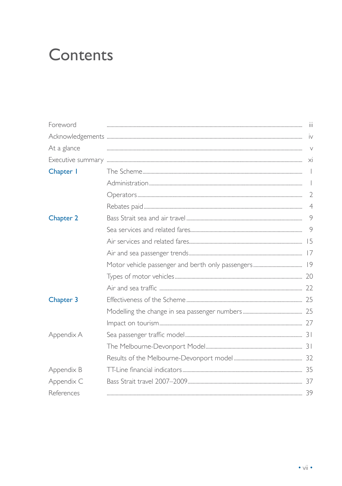## Contents

| Foreword    | Ϊij                                   |
|-------------|---------------------------------------|
|             | iv                                    |
| At a glance | $\vee$                                |
|             | $\times$                              |
| Chapter 1   | $\overline{\phantom{a}}$              |
|             | $\begin{array}{c} \hline \end{array}$ |
|             | $\overline{2}$                        |
|             | $\overline{4}$                        |
| Chapter 2   | 9                                     |
|             | 9                                     |
|             |                                       |
|             |                                       |
|             |                                       |
|             |                                       |
|             |                                       |
| Chapter 3   |                                       |
|             |                                       |
|             |                                       |
| Appendix A  |                                       |
|             |                                       |
|             |                                       |
| Appendix B  |                                       |
| Appendix C  |                                       |
| References  |                                       |
|             |                                       |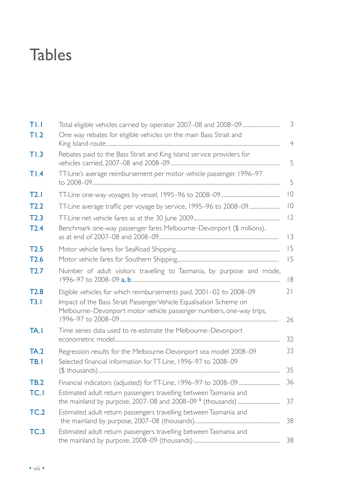# **Tables**

| TLI                 |                                                                                                                                                                                                                  | 3              |
|---------------------|------------------------------------------------------------------------------------------------------------------------------------------------------------------------------------------------------------------|----------------|
| T1.2                | One way rebates for eligible vehicles on the main Bass Strait and                                                                                                                                                | $\overline{4}$ |
| T1.3                | Rebates paid to the Bass Strait and King Island service providers for                                                                                                                                            | 5              |
| TI.4                | TT-Line's average reimbursement per motor vehicle passenger, 1996-97                                                                                                                                             | 5              |
| T2.1                |                                                                                                                                                                                                                  | $\overline{0}$ |
| T2.2                |                                                                                                                                                                                                                  | $\overline{0}$ |
| T2.3                |                                                                                                                                                                                                                  | 12             |
| T2.4                | Benchmark one-way passenger fares Melbourne-Devonport (\$ millions),                                                                                                                                             | 3              |
| T2.5                |                                                                                                                                                                                                                  | 15             |
| T2.6                |                                                                                                                                                                                                                  | 15             |
| T2.7                | Number of adult visitors travelling to Tasmania, by purpose and mode,                                                                                                                                            | 8              |
| T2.8<br>T3.1        | Eligible vehicles for which reimbursements paid, 2001-02 to 2008-09<br>Impact of the Bass Strait Passenger Vehicle Equalisation Scheme on<br>Melbourne-Devonport motor vehicle passenger numbers, one-way trips, | 21<br>26       |
| TA.I                | Time series data used to re-estimate the Melbourne-Devonport                                                                                                                                                     | 32             |
| <b>TA.2</b><br>TB.I | Regression results for the Melbourne-Devonport sea model 2008-09<br>Selected financial information for TT-Line, 1996-97 to 2008-09                                                                               | 33<br>35       |
| <b>TB.2</b><br>TC.I | Estimated adult return passengers travelling between Tasmania and                                                                                                                                                | 36<br>37       |
| TC.2                | Estimated adult return passengers travelling between Tasmania and                                                                                                                                                | 38             |
| TC.3                | Estimated adult return passengers travelling between Tasmania and                                                                                                                                                | 38             |
|                     |                                                                                                                                                                                                                  |                |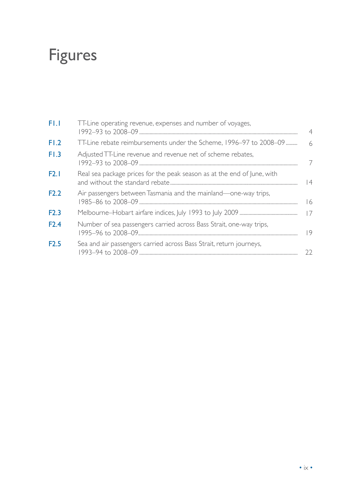# Figures

| FL.I | TT-Line operating revenue, expenses and number of voyages,              |    |
|------|-------------------------------------------------------------------------|----|
| FI.2 | TT-Line rebate reimbursements under the Scheme, 1996-97 to 2008-09      |    |
| F1.3 | Adjusted TT-Line revenue and revenue net of scheme rebates,             | 7  |
| F2.1 | Real sea package prices for the peak season as at the end of June, with | 4  |
| F2.2 | Air passengers between Tasmania and the mainland-one-way trips,         | 16 |
| F2.3 |                                                                         | 17 |
| F2.4 | Number of sea passengers carried across Bass Strait, one-way trips,     | 9  |
| F2.5 | Sea and air passengers carried across Bass Strait, return journeys,     | フフ |
|      |                                                                         |    |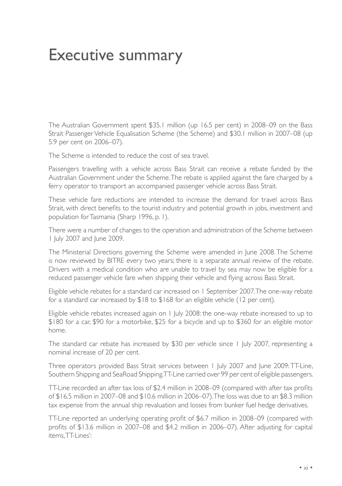## Executive summary

The Australian Government spent \$35.1 million (up 16.5 per cent) in 2008–09 on the Bass Strait Passenger Vehicle Equalisation Scheme (the Scheme) and \$30.1 million in 2007–08 (up 5.9 per cent on 2006–07).

The Scheme is intended to reduce the cost of sea travel.

Passengers travelling with a vehicle across Bass Strait can receive a rebate funded by the Australian Government under the Scheme. The rebate is applied against the fare charged by a ferry operator to transport an accompanied passenger vehicle across Bass Strait.

These vehicle fare reductions are intended to increase the demand for travel across Bass Strait, with direct benefits to the tourist industry and potential growth in jobs, investment and population for Tasmania (Sharp 1996, p. 1).

There were a number of changes to the operation and administration of the Scheme between 1 July 2007 and June 2009.

The Ministerial Directions governing the Scheme were amended in June 2008. The Scheme is now reviewed by BITRE every two years; there is a separate annual review of the rebate. Drivers with a medical condition who are unable to travel by sea may now be eligible for a reduced passenger vehicle fare when shipping their vehicle and flying across Bass Strait.

Eligible vehicle rebates for a standard car increased on 1 September 2007. The one-way rebate for a standard car increased by  $$18$  to  $$168$  for an eligible vehicle (12 per cent).

Eligible vehicle rebates increased again on 1 July 2008: the one-way rebate increased to up to \$180 for a car, \$90 for a motorbike, \$25 for a bicycle and up to \$360 for an eligible motor home.

The standard car rebate has increased by \$30 per vehicle since 1 July 2007, representing a nominal increase of 20 per cent.

Three operators provided Bass Strait services between 1 July 2007 and June 2009: TT-Line, Southern Shipping and SeaRoad Shipping. TT-Line carried over 99 per cent of eligible passengers.

TT-Line recorded an after tax loss of \$2.4 million in 2008–09 (compared with after tax profits of \$16.5 million in 2007–08 and \$10.6 million in 2006–07). The loss was due to an \$8.3 million tax expense from the annual ship revaluation and losses from bunker fuel hedge derivatives.

TT-Line reported an underlying operating profit of \$6.7 million in 2008–09 (compared with profits of \$13.6 million in 2007–08 and \$4.2 million in 2006–07). After adjusting for capital items, TT-Lines':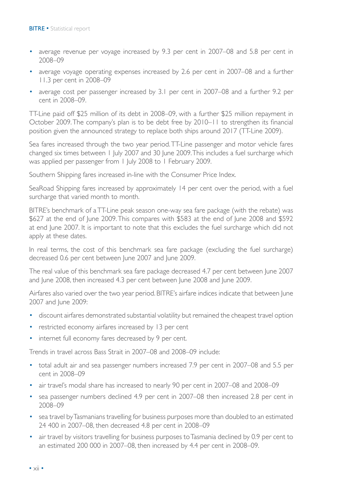- average revenue per voyage increased by 9.3 per cent in 2007–08 and 5.8 per cent in 2008–09
- average voyage operating expenses increased by 2.6 per cent in 2007–08 and a further 11.3 per cent in 2008–09
- average cost per passenger increased by 3.1 per cent in 2007–08 and a further 9.2 per cent in 2008–09.

TT-Line paid off \$25 million of its debt in 2008–09, with a further \$25 million repayment in October 2009. The company's plan is to be debt free by 2010–11 to strengthen its financial position given the announced strategy to replace both ships around 2017 (TT-Line 2009).

Sea fares increased through the two year period. TT-Line passenger and motor vehicle fares changed six times between 1 July 2007 and 30 June 2009. This includes a fuel surcharge which was applied per passenger from 1 July 2008 to 1 February 2009.

Southern Shipping fares increased in-line with the Consumer Price Index.

SeaRoad Shipping fares increased by approximately 14 per cent over the period, with a fuel surcharge that varied month to month.

BITRE's benchmark of a TT-Line peak season one-way sea fare package (with the rebate) was \$627 at the end of June 2009. This compares with \$583 at the end of June 2008 and \$592 at end June 2007. It is important to note that this excludes the fuel surcharge which did not apply at these dates.

In real terms, the cost of this benchmark sea fare package (excluding the fuel surcharge) decreased 0.6 per cent between June 2007 and June 2009.

The real value of this benchmark sea fare package decreased 4.7 per cent between June 2007 and June 2008, then increased 4.3 per cent between June 2008 and June 2009.

Airfares also varied over the two year period. BITRE's airfare indices indicate that between June 2007 and June 2009:

- discount airfares demonstrated substantial volatility but remained the cheapest travel option
- restricted economy airfares increased by 13 per cent
- internet full economy fares decreased by 9 per cent.

Trends in travel across Bass Strait in 2007–08 and 2008–09 include:

- total adult air and sea passenger numbers increased 7.9 per cent in 2007–08 and 5.5 per cent in 2008–09
- air travel's modal share has increased to nearly 90 per cent in 2007–08 and 2008–09
- sea passenger numbers declined 4.9 per cent in 2007–08 then increased 2.8 per cent in 2008–09
- sea travel by Tasmanians travelling for business purposes more than doubled to an estimated 24 400 in 2007–08, then decreased 4.8 per cent in 2008–09
- air travel by visitors travelling for business purposes to Tasmania declined by 0.9 per cent to an estimated 200 000 in 2007–08, then increased by 4.4 per cent in 2008–09.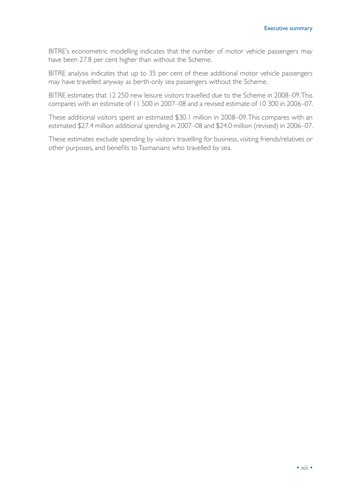BITRE's econometric modelling indicates that the number of motor vehicle passengers may have been 27.8 per cent higher than without the Scheme.

BITRE analysis indicates that up to 35 per cent of these additional motor vehicle passengers may have travelled anyway as berth-only sea passengers without the Scheme.

BITRE estimates that 12 250 new leisure visitors travelled due to the Scheme in 2008–09. This compares with an estimate of 11 500 in 2007–08 and a revised estimate of 10 300 in 2006–07.

These additional visitors spent an estimated \$30.1 million in 2008–09. This compares with an estimated \$27.4 million additional spending in 2007–08 and \$24.0 million (revised) in 2006–07.

These estimates exclude spending by visitors travelling for business, visiting friends/relatives or other purposes, and benefits to Tasmanians who travelled by sea.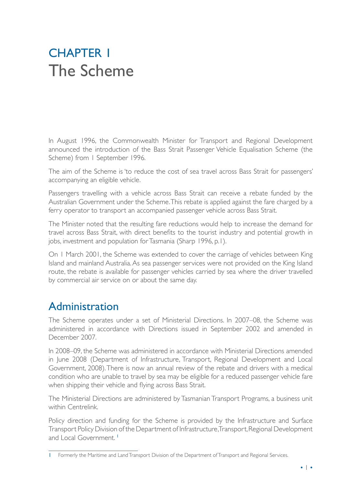## **CHAPTER 1** The Scheme

In August 1996, the Commonwealth Minister for Transport and Regional Development announced the introduction of the Bass Strait Passenger Vehicle Equalisation Scheme (the Scheme) from 1 September 1996.

The aim of the Scheme is 'to reduce the cost of sea travel across Bass Strait for passengers' accompanying an eligible vehicle.

Passengers travelling with a vehicle across Bass Strait can receive a rebate funded by the Australian Government under the Scheme. This rebate is applied against the fare charged by a ferry operator to transport an accompanied passenger vehicle across Bass Strait.

The Minister noted that the resulting fare reductions would help to increase the demand for travel across Bass Strait, with direct benefits to the tourist industry and potential growth in jobs, investment and population for Tasmania (Sharp 1996, p.1).

On 1 March 2001, the Scheme was extended to cover the carriage of vehicles between King Island and mainland Australia. As sea passenger services were not provided on the King Island route, the rebate is available for passenger vehicles carried by sea where the driver travelled by commercial air service on or about the same day.

### Administration

The Scheme operates under a set of Ministerial Directions. In 2007–08, the Scheme was administered in accordance with Directions issued in September 2002 and amended in December 2007.

In 2008–09, the Scheme was administered in accordance with Ministerial Directions amended in June 2008 (Department of Infrastructure, Transport, Regional Development and Local Government, 2008). There is now an annual review of the rebate and drivers with a medical condition who are unable to travel by sea may be eligible for a reduced passenger vehicle fare when shipping their vehicle and flying across Bass Strait.

The Ministerial Directions are administered by Tasmanian Transport Programs, a business unit within Centrelink.

Policy direction and funding for the Scheme is provided by the Infrastructure and Surface Transport Policy Division of the Department of Infrastructure, Transport, Regional Development and Local Government.<sup>1</sup>

<sup>1</sup> Formerly the Maritime and Land Transport Division of the Department of Transport and Regional Services.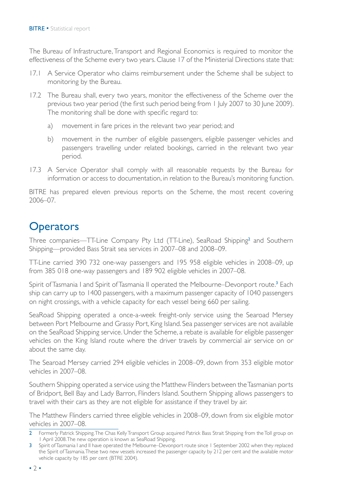The Bureau of Infrastructure, Transport and Regional Economics is required to monitor the effectiveness of the Scheme every two years. Clause 17 of the Ministerial Directions state that:

- 17.1 A Service Operator who claims reimbursement under the Scheme shall be subject to monitoring by the Bureau.
- 17.2 The Bureau shall, every two years, monitor the effectiveness of the Scheme over the previous two year period (the first such period being from 1 July 2007 to 30 June 2009). The monitoring shall be done with specific regard to:
	- a) movement in fare prices in the relevant two year period; and
	- b) movement in the number of eligible passengers, eligible passenger vehicles and passengers travelling under related bookings, carried in the relevant two year period.
- 17.3 A Service Operator shall comply with all reasonable requests by the Bureau for information or access to documentation, in relation to the Bureau's monitoring function.

BITRE has prepared eleven previous reports on the Scheme, the most recent covering 2006–07.

### **Operators**

Three companies—TT-Line Company Pty Ltd (TT-Line), SeaRoad Shipping<sup>2</sup> and Southern Shipping—provided Bass Strait sea services in 2007–08 and 2008–09.

TT-Line carried 390 732 one-way passengers and 195 958 eligible vehicles in 2008–09, up from 385 018 one-way passengers and 189 902 eligible vehicles in 2007–08.

Spirit of Tasmania I and Spirit of Tasmania II operated the Melbourne–Devonport route.<sup>3</sup> Each ship can carry up to 1400 passengers, with a maximum passenger capacity of 1040 passengers on night crossings, with a vehicle capacity for each vessel being 660 per sailing.

SeaRoad Shipping operated a once-a-week freight-only service using the Searoad Mersey between Port Melbourne and Grassy Port, King Island. Sea passenger services are not available on the SeaRoad Shipping service. Under the Scheme, a rebate is available for eligible passenger vehicles on the King Island route where the driver travels by commercial air service on or about the same day.

The Searoad Mersey carried 294 eligible vehicles in 2008–09, down from 353 eligible motor vehicles in 2007–08.

Southern Shipping operated a service using the Matthew Flinders between the Tasmanian ports of Bridport, Bell Bay and Lady Barron, Flinders Island. Southern Shipping allows passengers to travel with their cars as they are not eligible for assistance if they travel by air.

The Matthew Flinders carried three eligible vehicles in 2008–09, down from six eligible motor vehicles in 2007–08.

<sup>2</sup> Formerly Patrick Shipping. The Chas Kelly Transport Group acquired Patrick Bass Strait Shipping from the Toll group on 1 April 2008. The new operation is known as SeaRoad Shipping.

<sup>3</sup> Spirit of Tasmania I and II have operated the Melbourne–Devonport route since I September 2002 when they replaced the Spirit of Tasmania. These two new vessels increased the passenger capacity by 212 per cent and the available motor vehicle capacity by 185 per cent (BTRE 2004).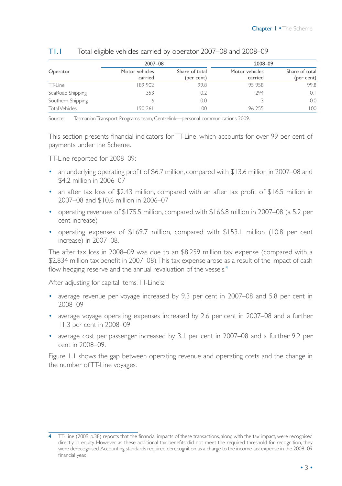|                       | 2007-08                   |                              | 2008-09                   |                              |
|-----------------------|---------------------------|------------------------------|---------------------------|------------------------------|
| Operator              | Motor vehicles<br>carried | Share of total<br>(per cent) | Motor vehicles<br>carried | Share of total<br>(per cent) |
| TT-Line               | 189 902                   | 99.8                         | 195958                    | 99.8                         |
| SeaRoad Shipping      | 353                       | 0.2                          | 294                       | 0.1                          |
| Southern Shipping     | 6                         | 0.0                          |                           | 0.0                          |
| <b>Total Vehicles</b> | 190 261                   | 100                          | 196 255                   | 100                          |

#### T1.1 Total eligible vehicles carried by operator 2007–08 and 2008–09

Source: Tasmanian Transport Programs team, Centrelink—personal communications 2009.

This section presents financial indicators for TT-Line, which accounts for over 99 per cent of payments under the Scheme.

TT-Line reported for 2008–09:

- an underlying operating profit of \$6.7 million, compared with \$13.6 million in 2007–08 and \$4.2 million in 2006–07
- an after tax loss of \$2.43 million, compared with an after tax profit of \$16.5 million in 2007–08 and \$10.6 million in 2006–07
- operating revenues of \$175.5 million, compared with \$166.8 million in 2007–08 (a 5.2 per cent increase)
- operating expenses of \$169.7 million, compared with \$153.1 million (10.8 per cent increase) in 2007–08.

The after tax loss in 2008–09 was due to an \$8.259 million tax expense (compared with a \$2.834 million tax benefit in 2007–08). This tax expense arose as a result of the impact of cash flow hedging reserve and the annual revaluation of the vessels.<sup>4</sup>

After adjusting for capital items, TT-Line's:

- average revenue per voyage increased by 9.3 per cent in 2007–08 and 5.8 per cent in 2008–09
- average voyage operating expenses increased by 2.6 per cent in 2007–08 and a further 11.3 per cent in 2008–09
- average cost per passenger increased by 3.1 per cent in 2007–08 and a further 9.2 per cent in 2008–09.

Figure 1.1 shows the gap between operating revenue and operating costs and the change in the number of TT-Line voyages.

<sup>4</sup> TT-Line (2009, p.38) reports that the financial impacts of these transactions, along with the tax impact, were recognised directly in equity. However, as these additional tax benefits did not meet the required threshold for recognition, they were derecognised. Accounting standards required derecognition as a charge to the income tax expense in the 2008–09 financial year.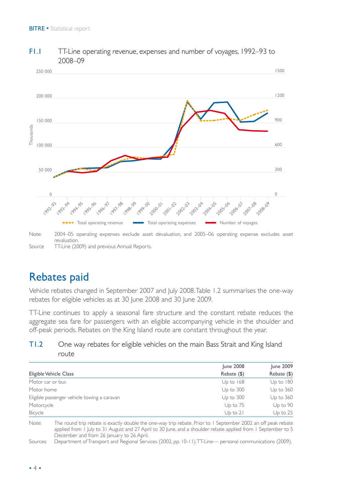

#### F1.1 TT-Line operating revenue, expenses and number of voyages, 1992–93 to 2008–09

Note: 2004–05 operating expenses exclude asset devaluation, and 2005–06 operating expense excludes asset revaluation. Source TT-Line (2009) and previous Annual Reports.

## Rebates paid

Vehicle rebates changed in September 2007 and July 2008. Table 1.2 summarises the one-way rebates for eligible vehicles as at 30 June 2008 and 30 June 2009.

TT-Line continues to apply a seasonal fare structure and the constant rebate reduces the aggregate sea fare for passengers with an eligible accompanying vehicle in the shoulder and off-peak periods. Rebates on the King Island route are constant throughout the year.

#### T1.2 One way rebates for eligible vehicles on the main Bass Strait and King Island route

|                                             | <b>June 2008</b> | June 2009     |
|---------------------------------------------|------------------|---------------|
| Eligible Vehicle Class                      | Rebate (\$)      | Rebate (\$)   |
| Motor car or bus                            | Up to 168        | $Up$ to $180$ |
| Motor home                                  | Up to 300        | Up to 360     |
| Eligible passenger vehicle towing a caravan | Up to 300        | Up to 360     |
| Motorcycle                                  | Up to 75         | Up to 90      |
| Bicycle                                     | $Up$ to $21$     | Up to $25$    |

Note: The round trip rebate is exactly double the one-way trip rebate. Prior to 1 September 2002 an off peak rebate applied from 1 July to 31 August and 27 April to 30 June, and a shoulder rebate applied from 1 September to 5 December and from 26 January to 26 April.

Sources: Department of Transport and Regional Services (2002, pp. 10-11). TT-Line— personal communications (2009).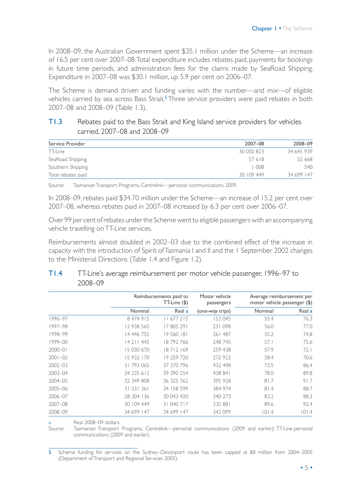In 2008–09, the Australian Government spent \$35.1 million under the Scheme—an increase of 16.5 per cent over 2007–08. Total expenditure includes rebates paid, payments for bookings in future time periods, and administration fees for the claims made by SeaRoad Shipping. Expenditure in 2007–08 was \$30.1 million, up 5.9 per cent on 2006–07.

The Scheme is demand driven and funding varies with the number—and mix—of eligible vehicles carried by sea across Bass Strait.<sup>5</sup> Three service providers were paid rebates in both 2007–08 and 2008–09 (Table 1.3).

#### T1.3 Rebates paid to the Bass Strait and King Island service providers for vehicles carried, 2007–08 and 2008–09

| Service Provider   | 2007-08    | 2008-09    |
|--------------------|------------|------------|
| TT-Line            | 30 050 823 | 34 645 939 |
| SeaRoad Shipping   | 57618      | 52 668     |
| Southern Shipping  | 1008       | 540        |
| Total rebates paid | 30 109 449 | 34 699 147 |

Source: Tasmanian Transport Programs, Centrelink—personal communications 2009.

In 2008–09, rebates paid \$34.70 million under the Scheme—an increase of 15.2 per cent over 2007–08, whereas rebates paid in 2007–08 increased by 6.3 per cent over 2006–07.

Over 99 per cent of rebates under the Scheme went to eligible passengers with an accompanying vehicle travelling on TT-Line services.

Reimbursements almost doubled in 2002–03 due to the combined effect of the increase in capacity with the introduction of Spirit of Tasmania I and II and the 1 September 2002 changes to the Ministerial Directions (Table 1.4 and Figure 1.2).

|             |            | Reimbursements paid to<br>TT-Line (\$) |                 | Average reimbursement per<br>motor vehicle passenger (\$) |        |
|-------------|------------|----------------------------------------|-----------------|-----------------------------------------------------------|--------|
|             | Nominal    | Real a                                 | (one-way trips) | Nominal                                                   | Real a |
| 1996–97     | 8 474 915  | 11 677 215                             | 153 045         | 55.4                                                      | 76.3   |
| 1997–98     | 12 938 565 | 17805291                               | 231 098         | 56.0                                                      | 77.0   |
| 1998-99     | 14 446 755 | 19 560 181                             | 261 487         | 55.2                                                      | 74.8   |
| 1999-00     | 14 211 445 | 18792766                               | 248 745         | 57.1                                                      | 75.6   |
| $2000 - 01$ | 15 030 670 | 18712169                               | 259 438         | 57.9                                                      | 72.1   |
| $2001 - 02$ | 15 932 170 | 19 259 720                             | 272 922         | 58.4                                                      | 70.6   |
| $2002 - 03$ | 31 793 065 | 37 370 796                             | 432 498         | 73.5                                                      | 86.4   |
| 2003-04     | 34 235 612 | 39 390 254                             | 438 841         | 78.0                                                      | 89.8   |
| 2004-05     | 32 349 808 | 36 325 762                             | 395 928         | 81.7                                                      | 91.7   |
| 2005-06     | 31 331 361 | 34 158 599                             | 384 974         | 81.4                                                      | 88.7   |
| 2006-07     | 28 304 136 | 30 043 420                             | 340 273         | 83.2                                                      | 88.3   |
| 2007-08     | 30 109 449 | 31 040 717                             | 335 881         | 89.6                                                      | 92.4   |
| 2008-09     | 34 699 147 | 34 699 147                             | 342 099         | 101.4                                                     | 101.4  |

#### T1.4 TT-Line's average reimbursement per motor vehicle passenger, 1996–97 to 2008–09

Real 2008-09 dollars.

Source: Tasmanian Transport Programs, Centrelink—personal communications (2009 and earlier); TT-Line-personal communications (2009 and earlier).

<sup>5</sup> Scheme funding for services on the Sydney–Devonport route has been capped at \$8 million from 2004–2005 (Department of Transport and Regional Services 2005).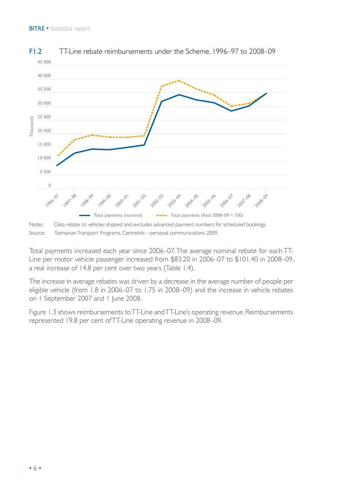

#### F1.2 TT-Line rebate reimbursements under the Scheme, 1996–97 to 2008–09

Notes: Data relates to vehicles shipped and excludes advanced payment numbers for scheduled bookings. Source: Tasmanian Transport Programs, Centrelink—personal communications 2009.

Total payments increased each year since 2006–07. The average nominal rebate for each TT-Line per motor vehicle passenger increased from \$83.20 in 2006–07 to \$101.40 in 2008–09, a real increase of 14.8 per cent over two years (Table 1.4).

The increase in average rebates was driven by a decrease in the average number of people per eligible vehicle (from 1.8 in 2006–07 to 1.75 in 2008–09) and the increase in vehicle rebates on 1 September 2007 and 1 June 2008.

Figure 1.3 shows reimbursements to TT-Line and TT-Line's operating revenue. Reimbursements represented 19.8 per cent of TT-Line operating revenue in 2008–09.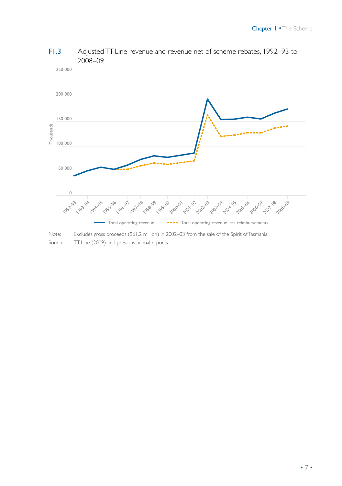

#### F1.3 Adjusted TT-Line revenue and revenue net of scheme rebates, 1992–93 to 2008–09

250 000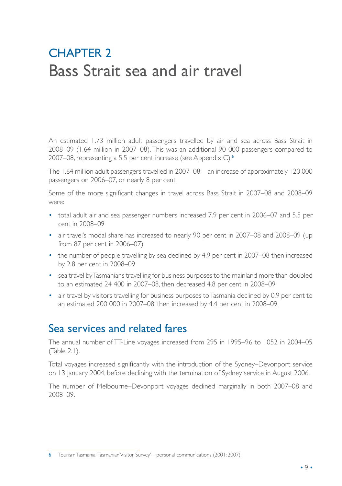## **CHAPTER 2** Bass Strait sea and air travel

An estimated 1.73 million adult passengers travelled by air and sea across Bass Strait in 2008–09 (1.64 million in 2007–08). This was an additional 90 000 passengers compared to 2007–08, representing a 5.5 per cent increase (see Appendix C).<sup>6</sup>

The 1.64 million adult passengers travelled in 2007–08—an increase of approximately 120 000 passengers on 2006–07, or nearly 8 per cent.

Some of the more significant changes in travel across Bass Strait in 2007–08 and 2008–09 were:

- total adult air and sea passenger numbers increased 7.9 per cent in 2006–07 and 5.5 per cent in 2008–09
- air travel's modal share has increased to nearly 90 per cent in 2007–08 and 2008–09 (up from 87 per cent in 2006–07)
- the number of people travelling by sea declined by 4.9 per cent in 2007–08 then increased by 2.8 per cent in 2008–09
- sea travel by Tasmanians travelling for business purposes to the mainland more than doubled to an estimated 24 400 in 2007–08, then decreased 4.8 per cent in 2008–09
- air travel by visitors travelling for business purposes to Tasmania declined by 0.9 per cent to an estimated 200 000 in 2007–08, then increased by 4.4 per cent in 2008–09.

### Sea services and related fares

The annual number of TT-Line voyages increased from 295 in 1995–96 to 1052 in 2004–05 (Table 2.1).

Total voyages increased significantly with the introduction of the Sydney–Devonport service on 13 January 2004, before declining with the termination of Sydney service in August 2006.

The number of Melbourne–Devonport voyages declined marginally in both 2007–08 and 2008–09.

<sup>6</sup> Tourism Tasmania 'Tasmanian Visitor Survey'—personal communications (2001; 2007).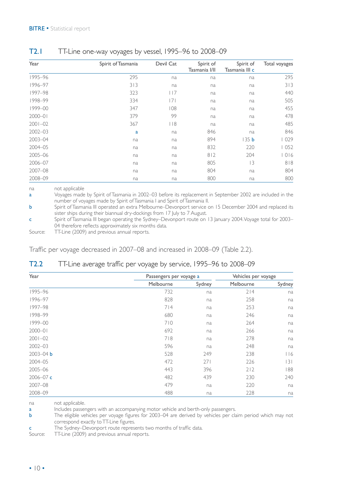| Year        | Spirit of Tasmania | Devil Cat | Spirit of<br>Tasmania I/II | Spirit of<br>Tasmania III c | Total voyages |
|-------------|--------------------|-----------|----------------------------|-----------------------------|---------------|
| 1995-96     | 295                | na        | na                         | na                          | 295           |
| 1996-97     | 313                | na        | na                         | na                          | 313           |
| 1997-98     | 323                | l 17      | na                         | na                          | 440           |
| 1998-99     | 334                | 7         | na                         | na                          | 505           |
| 1999-00     | 347                | 108       | na                         | na                          | 455           |
| $2000 - 01$ | 379                | 99        | na                         | na                          | 478           |
| $2001 - 02$ | 367                | 8         | na                         | na                          | 485           |
| $2002 - 03$ | a                  | na        | 846                        | na                          | 846           |
| 2003-04     | na                 | na        | 894                        | 35 <sub>b</sub>             | 1029          |
| 2004-05     | na                 | na        | 832                        | 220                         | 1052          |
| 2005-06     | na                 | na        | 812                        | 204                         | 1016          |
| 2006-07     | na                 | na        | 805                        | 3                           | 818           |
| 2007-08     | na                 | na        | 804                        | na                          | 804           |
| 2008-09     | na                 | na        | 800                        | na                          | 800           |

#### T2.1 TT-Line one-way voyages by vessel, 1995–96 to 2008–09

na not applicable

a Voyages made by Spirit of Tasmania in 2002–03 before its replacement in September 2002 are included in the number of voyages made by Spirit of Tasmania I and Spirit of Tasmania II.

b Spirit of Tasmania III operated an extra Melbourne–Devonport service on 15 December 2004 and replaced its sister ships during their biannual dry-dockings from 17 July to 7 August.

c Spirit of Tasmania III began operating the Sydney–Devonport route on 13 January 2004. Voyage total for 2003– 04 therefore reflects approximately six months data.

Source: TT-Line (2009) and previous annual reports.

Traffic per voyage decreased in 2007–08 and increased in 2008–09 (Table 2.2).

#### T2.2 TT-Line average traffic per voyage by service, 1995–96 to 2008–09

| Year          |           | Passengers per voyage a |           |        |
|---------------|-----------|-------------------------|-----------|--------|
|               | Melbourne | Sydney                  | Melbourne | Sydney |
| 1995-96       | 732       | na                      | 214       | na     |
| 1996-97       | 828       | na                      | 258       | na     |
| 1997–98       | 714       | na                      | 253       | na     |
| 1998-99       | 680       | na                      | 246       | na     |
| 1999-00       | 710       | na                      | 264       | na     |
| $2000 - 01$   | 692       | na                      | 266       | na     |
| $2001 - 02$   | 718       | na                      | 278       | na     |
| $2002 - 03$   | 596       | na                      | 248       | na     |
| $2003 - 04$ b | 528       | 249                     | 238       | 116    |
| 2004-05       | 472       | 271                     | 226       | 3      |
| 2005-06       | 443       | 396                     | 212       | 188    |
| $2006 - 07$ c | 482       | 439                     | 230       | 240    |
| 2007-08       | 479       | na                      | 220       | na     |
| 2008-09       | 488       | na                      | 228       | na     |

na not applicable.

**a** Includes passengers with an accompanying motor vehicle and berth-only passengers.<br> **b** The eligible vehicles per voyage figures for 2003–04 are derived by vehicles per cla

The eligible vehicles per voyage figures for 2003–04 are derived by vehicles per claim period which may not correspond exactly to TT-Line figures.

c The Sydney–Devonport route represents two months of traffic data.

Source: TT-Line (2009) and previous annual reports.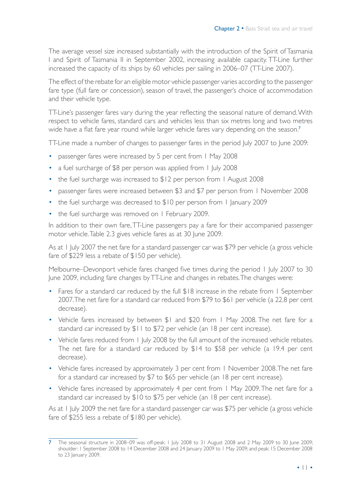The average vessel size increased substantially with the introduction of the Spirit of Tasmania I and Spirit of Tasmania II in September 2002, increasing available capacity. TT-Line further increased the capacity of its ships by 60 vehicles per sailing in 2006–07 (TT-Line 2007).

The effect of the rebate for an eligible motor vehicle passenger varies according to the passenger fare type (full fare or concession), season of travel, the passenger's choice of accommodation and their vehicle type.

TT-Line's passenger fares vary during the year reflecting the seasonal nature of demand. With respect to vehicle fares, standard cars and vehicles less than six metres long and two metres wide have a flat fare year round while larger vehicle fares vary depending on the season.<sup>7</sup>

TT-Line made a number of changes to passenger fares in the period July 2007 to June 2009:

- passenger fares were increased by 5 per cent from 1 May 2008
- a fuel surcharge of \$8 per person was applied from 1 July 2008
- the fuel surcharge was increased to \$12 per person from 1 August 2008
- passenger fares were increased between \$3 and \$7 per person from 1 November 2008
- the fuel surcharge was decreased to \$10 per person from 1 January 2009
- the fuel surcharge was removed on 1 February 2009.

In addition to their own fare, TT-Line passengers pay a fare for their accompanied passenger motor vehicle. Table 2.3 gives vehicle fares as at 30 June 2009.

As at 1 July 2007 the net fare for a standard passenger car was \$79 per vehicle (a gross vehicle fare of \$229 less a rebate of \$150 per vehicle).

Melbourne–Devonport vehicle fares changed five times during the period 1 July 2007 to 30 June 2009, including fare changes by TT-Line and changes in rebates. The changes were:

- Fares for a standard car reduced by the full \$18 increase in the rebate from 1 September 2007. The net fare for a standard car reduced from \$79 to \$61 per vehicle (a 22.8 per cent decrease).
- Vehicle fares increased by between \$1 and \$20 from 1 May 2008. The net fare for a standard car increased by \$11 to \$72 per vehicle (an 18 per cent increase).
- Vehicle fares reduced from 1 July 2008 by the full amount of the increased vehicle rebates. The net fare for a standard car reduced by \$14 to \$58 per vehicle (a 19.4 per cent decrease).
- Vehicle fares increased by approximately 3 per cent from 1 November 2008. The net fare for a standard car increased by \$7 to \$65 per vehicle (an 18 per cent increase).
- Vehicle fares increased by approximately 4 per cent from 1 May 2009. The net fare for a standard car increased by \$10 to \$75 per vehicle (an 18 per cent increase).

As at 1 July 2009 the net fare for a standard passenger car was \$75 per vehicle (a gross vehicle fare of \$255 less a rebate of \$180 per vehicle).

<sup>7</sup> The seasonal structure in 2008–09 was off-peak: 1 July 2008 to 31 August 2008 and 2 May 2009 to 30 June 2009; shoulder: 1 September 2008 to 14 December 2008 and 24 January 2009 to 1 May 2009; and peak: 15 December 2008 to 23 January 2009.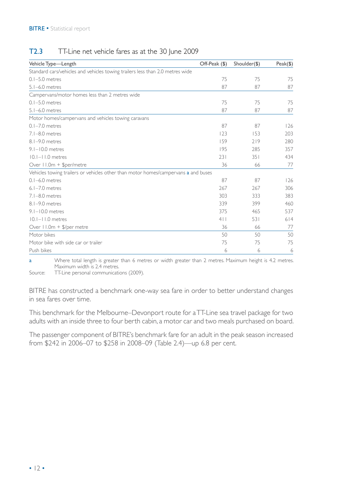| T2.3 |  | TT-Line net vehicle fares as at the 30 June 2009 |  |  |
|------|--|--------------------------------------------------|--|--|
|------|--|--------------------------------------------------|--|--|

| Vehicle Type-Length                                                                | Off-Peak (\$) | Shoulder(\$) | Peak(\$) |
|------------------------------------------------------------------------------------|---------------|--------------|----------|
| Standard cars/vehicles and vehicles towing trailers less than 2.0 metres wide      |               |              |          |
| $0.1 - 5.0$ metres                                                                 | 75            | 75           | 75       |
| $5.1 - 6.0$ metres                                                                 | 87            | 87           | 87       |
| Campervans/motor homes less than 2 metres wide                                     |               |              |          |
| $0.1 - 5.0$ metres                                                                 | 75            | 75           | 75       |
| $5.1 - 6.0$ metres                                                                 | 87            | 87           | 87       |
| Motor homes/campervans and vehicles towing caravans                                |               |              |          |
| $0.1 - 7.0$ metres                                                                 | 87            | 87           | 126      |
| $7.1 - 8.0$ metres                                                                 | 123           | 153          | 203      |
| 8.1-9.0 metres                                                                     | 159           | 219          | 280      |
| $9.1 - 10.0$ metres                                                                | 195           | 285          | 357      |
| $10.1 - 11.0$ metres                                                               | 231           | 351          | 434      |
| Over 11.0m + \$per/metre                                                           | 36            | 66           | 77       |
| Vehicles towing trailers or vehicles other than motor homes/campervans a and buses |               |              |          |
| $0.1 - 6.0$ metres                                                                 | 87            | 87           | 126      |
| $6.1 - 7.0$ metres                                                                 | 267           | 267          | 306      |
| $7.1 - 8.0$ metres                                                                 | 303           | 333          | 383      |
| 8.1-9.0 metres                                                                     | 339           | 399          | 460      |
| $9.1 - 10.0$ metres                                                                | 375           | 465          | 537      |
| $ 0. - 1.0$ metres                                                                 | 4             | 531          | 614      |
| Over 11.0m + \$/per metre                                                          | 36            | 66           | 77       |
| Motor bikes                                                                        | 50            | 50           | 50       |
| Motor bike with side car or trailer                                                | 75            | 75           | 75       |
| Push bikes                                                                         | 6             | 6            | 6        |

a Where total length is greater than 6 metres or width greater than 2 metres. Maximum height is 4.2 metres. Maximum width is 2.4 metres.

Source: TT-Line personal communications (2009).

BITRE has constructed a benchmark one-way sea fare in order to better understand changes in sea fares over time.

This benchmark for the Melbourne–Devonport route for a TT-Line sea travel package for two adults with an inside three to four berth cabin, a motor car and two meals purchased on board.

The passenger component of BITRE's benchmark fare for an adult in the peak season increased from \$242 in 2006–07 to \$258 in 2008–09 (Table 2.4)—up 6.8 per cent.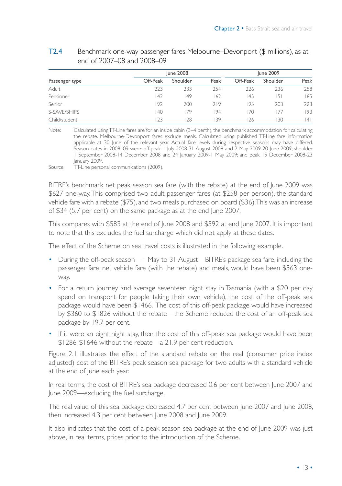|                |          | <b>June 2008</b> |      |          | June 2009 |      |
|----------------|----------|------------------|------|----------|-----------|------|
| Passenger type | Off-Peak | Shoulder         | Peak | Off-Peak | Shoulder  | Peak |
| Adult          | 223      | 233              | 254  | 226      | 236       | 258  |
| Pensioner      | 42       | 49               | 162  | 145      | 151       | 165  |
| Senior         | 192      | 200              | 719  | 195      | 203       | 223  |
| S-SAVF/SHIPS   | 40       | 79               | 94   | 70       |           | 193  |
| Child/student  | 23       | 28               | 139  | 26       | 30        | 4    |

#### T2.4 Benchmark one-way passenger fares Melbourne–Devonport (\$ millions), as at end of 2007–08 and 2008–09

Note: Calculated using TT-Line fares are for an inside cabin (3-4 berth), the benchmark accommodation for calculating the rebate. Melbourne-Devonport fares exclude meals. Calculated using published TT-Line fare information applicable at 30 June of the relevant year. Actual fare levels during respective seasons may have differed. Season dates in 2008–09 were: off-peak 1 July 2008-31 August 2008 and 2 May 2009-20 June 2009; shoulder 1 September 2008-14 December 2008 and 24 January 2009-1 May 2009; and peak 15 December 2008-23 January 2009.

Source: TT-Line personal communications (2009).

BITRE's benchmark net peak season sea fare (with the rebate) at the end of June 2009 was \$627 one-way. This comprised two adult passenger fares (at \$258 per person), the standard vehicle fare with a rebate (\$75), and two meals purchased on board (\$36). This was an increase of \$34 (5.7 per cent) on the same package as at the end June 2007.

This compares with \$583 at the end of June 2008 and \$592 at end June 2007. It is important to note that this excludes the fuel surcharge which did not apply at these dates.

The effect of the Scheme on sea travel costs is illustrated in the following example.

- During the off-peak season—1 May to 31 August—BITRE's package sea fare, including the passenger fare, net vehicle fare (with the rebate) and meals, would have been \$563 oneway.
- For a return journey and average seventeen night stay in Tasmania (with a \$20 per day spend on transport for people taking their own vehicle), the cost of the off-peak sea package would have been \$1466. The cost of this off-peak package would have increased by \$360 to \$1826 without the rebate—the Scheme reduced the cost of an off-peak sea package by 19.7 per cent.
- If it were an eight night stay, then the cost of this off-peak sea package would have been \$1286, \$1646 without the rebate—a 21.9 per cent reduction.

Figure 2.1 illustrates the effect of the standard rebate on the real (consumer price index adjusted) cost of the BITRE's peak season sea package for two adults with a standard vehicle at the end of June each year.

In real terms, the cost of BITRE's sea package decreased 0.6 per cent between June 2007 and June 2009—excluding the fuel surcharge.

The real value of this sea package decreased 4.7 per cent between June 2007 and June 2008, then increased 4.3 per cent between June 2008 and June 2009.

It also indicates that the cost of a peak season sea package at the end of June 2009 was just above, in real terms, prices prior to the introduction of the Scheme.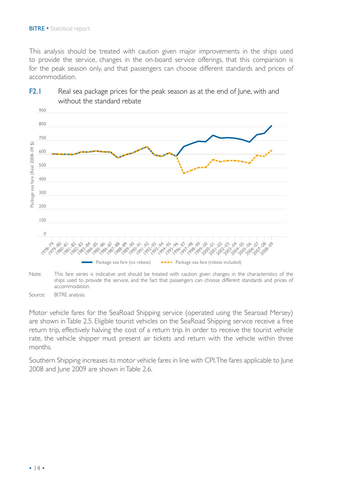This analysis should be treated with caution given major improvements in the ships used to provide the service, changes in the on-board service offerings, that this comparison is for the peak season only, and that passengers can choose different standards and prices of accommodation.



#### F2.1 Real sea package prices for the peak season as at the end of June, with and without the standard rebate

Note: This fare series is indicative and should be treated with caution given changes in the characteristics of the ships used to provide the service, and the fact that passengers can choose different standards and prices of accommodation.

Source: BITRE analysis.

Motor vehicle fares for the SeaRoad Shipping service (operated using the Searoad Mersey) are shown in Table 2.5. Eligible tourist vehicles on the SeaRoad Shipping service receive a free return trip, effectively halving the cost of a return trip. In order to receive the tourist vehicle rate, the vehicle shipper must present air tickets and return with the vehicle within three months.

Southern Shipping increases its motor vehicle fares in line with CPI. The fares applicable to June 2008 and June 2009 are shown in Table 2.6.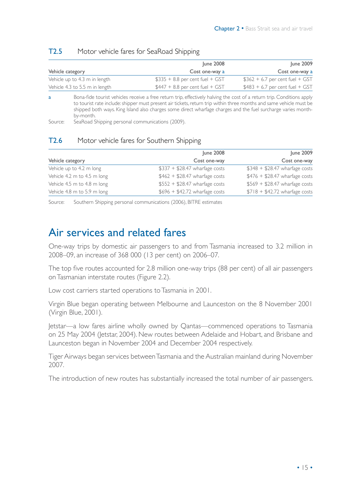|                                | June 2008                        | June 2009                        |
|--------------------------------|----------------------------------|----------------------------------|
| Vehicle category               | Cost one-way a                   | Cost one-way a                   |
| Vehicle up to 4.3 m in length  | $$335 + 8.8$ per cent fuel + GST | $$362 + 6.7$ per cent fuel + GST |
| Vehicle 4.3 to 5.5 m in length | $$447 + 8.8$ per cent fuel + GST | $$483 + 6.7$ per cent fuel + GST |

#### T2.5 Motor vehicle fares for SeaRoad Shipping

a Bona-fide tourist vehicles receive a free return trip, effectively halving the cost of a return trip. Conditions apply to tourist rate include: shipper must present air tickets, return trip within three months and same vehicle must be shipped both ways. King Island also charges some direct wharfage charges and the fuel surcharge varies monthby-month.

Source: SeaRoad Shipping personal communications (2009).

#### T2.6 Motor vehicle fares for Southern Shipping

|                             | June 2008                      | June 2009                      |
|-----------------------------|--------------------------------|--------------------------------|
| Vehicle category            | Cost one-way                   | Cost one-way                   |
| Vehicle up to 4.2 m long    | $$337 + $28.47$ wharfage costs | $$348 + $28.47$ wharfage costs |
| Vehicle 4.2 m to 4.5 m long | $$462 + $28.47$ wharfage costs | $$476 + $28.47$ wharfage costs |
| Vehicle 4.5 m to 4.8 m long | $$552 + $28.47$ wharfage costs | $$569 + $28.47$ wharfage costs |
| Vehicle 4.8 m to 5.9 m long | $$696 + $42,72$ wharfage costs | $$718 + $42.72$ wharfage costs |

Source: Southern Shipping personal communications (2006), BITRE estimates

### Air services and related fares

One-way trips by domestic air passengers to and from Tasmania increased to 3.2 million in 2008–09, an increase of 368 000 (13 per cent) on 2006–07.

The top five routes accounted for 2.8 million one-way trips (88 per cent) of all air passengers on Tasmanian interstate routes (Figure 2.2).

Low cost carriers started operations to Tasmania in 2001.

Virgin Blue began operating between Melbourne and Launceston on the 8 November 2001 (Virgin Blue, 2001).

Jetstar—a low fares airline wholly owned by Qantas—commenced operations to Tasmania on 25 May 2004 (Jetstar, 2004). New routes between Adelaide and Hobart, and Brisbane and Launceston began in November 2004 and December 2004 respectively.

Tiger Airways began services between Tasmania and the Australian mainland during November 2007.

The introduction of new routes has substantially increased the total number of air passengers.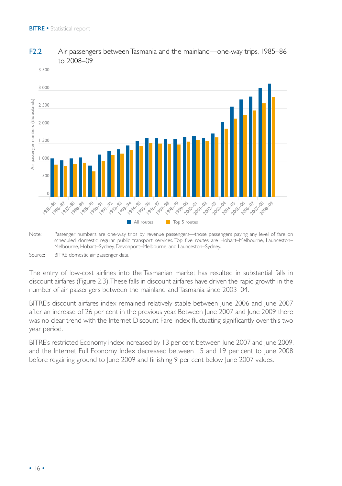

#### F2.2 Air passengers between Tasmania and the mainland—one-way trips, 1985–86 to 2008–09

Source: BITRE domestic air passenger data.

The entry of low-cost airlines into the Tasmanian market has resulted in substantial falls in discount airfares (Figure 2.3). These falls in discount airfares have driven the rapid growth in the number of air passengers between the mainland and Tasmania since 2003–04.

BITRE's discount airfares index remained relatively stable between June 2006 and June 2007 after an increase of 26 per cent in the previous year. Between June 2007 and June 2009 there was no clear trend with the Internet Discount Fare index fluctuating significantly over this two year period.

BITRE's restricted Economy index increased by 13 per cent between June 2007 and June 2009, and the Internet Full Economy Index decreased between 15 and 19 per cent to June 2008 before regaining ground to June 2009 and finishing 9 per cent below June 2007 values.

Note: Passenger numbers are one-way trips by revenue passengers—those passengers paying any level of fare on scheduled domestic regular public transport services. Top five routes are Hobart–Melbourne, Launceston– Melbourne, Hobart–Sydney, Devonport–Melbourne, and Launceston–Sydney.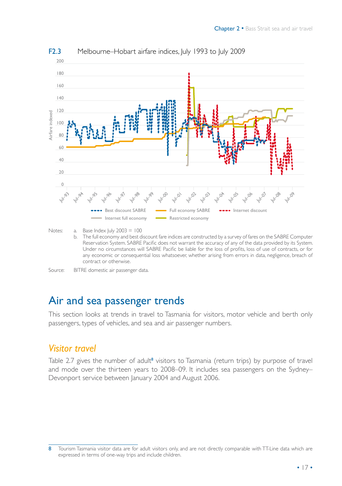

F2.3 Melbourne–Hobart airfare indices, July 1993 to July 2009

b. The full economy and best discount fare indices are constructed by a survey of fares on the SABRE Computer Reservation System. SABRE Pacific does not warrant the accuracy of any of the data provided by its System. Under no circumstances will SABRE Pacific be liable for the loss of profits, loss of use of contracts, or for any economic or consequential loss whatsoever, whether arising from errors in data, negligence, breach of contract or otherwise.

### Air and sea passenger trends

This section looks at trends in travel to Tasmania for visitors, motor vehicle and berth only passengers, types of vehicles, and sea and air passenger numbers.

### *Visitor travel*

Table 2.7 gives the number of adult<sup>8</sup> visitors to Tasmania (return trips) by purpose of travel and mode over the thirteen years to 2008–09. It includes sea passengers on the Sydney– Devonport service between January 2004 and August 2006.

Notes: a. Base Index July 2003 = 100

Source: BITRE domestic air passenger data.

<sup>8</sup> Tourism Tasmania visitor data are for adult visitors only, and are not directly comparable with TT-Line data which are expressed in terms of one-way trips and include children.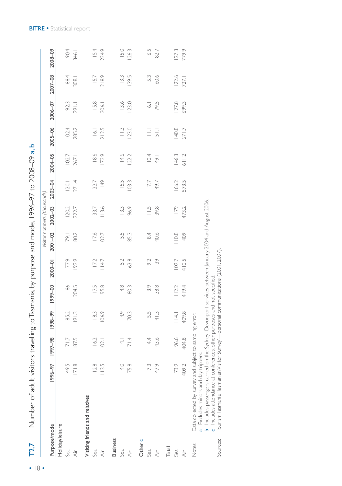| T2.7                           | Number of adult visitors travelling to Tasmania, by purpose and mode, 1996-97 to 2008-09 a, b |               |                    |         |                   |             |                                            |             |         |                      |                    |         |               |
|--------------------------------|-----------------------------------------------------------------------------------------------|---------------|--------------------|---------|-------------------|-------------|--------------------------------------------|-------------|---------|----------------------|--------------------|---------|---------------|
| Purpose/mode                   | 1996-97                                                                                       | 1997-98       | 1998-99            | 1999-00 | $2000 - 01$       | $2001 - 02$ | Visitor numbers (thousands)<br>$2002 - 03$ | 2003-04     | 2004-05 | $2005 - 06$          | $2006 - 07$        | 2007-08 | 2008-09       |
| Holiday/leisure<br>Sea         | 49.5                                                                                          | 71.7          | 85.2               | 86      |                   |             |                                            |             |         |                      |                    | 88.4    |               |
|                                |                                                                                               |               |                    |         | 77.9              | 79.1        | 20,2                                       | 120.1       | 102.7   | 102.4                | 92.3               |         | 90.4          |
| $\dot{\wedge}$                 | 171.8                                                                                         | 87.5          | 91.3               | 204.5   | 192.9             | 80.2        | 222.7                                      | 271.4       | 267.1   | 285.2                | 291.1              | 308.1   | 346.1         |
| Visiting friends and relatives |                                                                                               |               |                    |         |                   |             |                                            |             |         |                      |                    |         |               |
| Sea                            | 12.8                                                                                          | 16.2          | 18.3               | 17.5    |                   | 17.6        | 33.7                                       | 22.7        | 18.6    |                      | 15.8               | 15.7    |               |
| $\dot{\overline{\mathbf{A}}}$  | $\frac{55}{1}$                                                                                | 02            | 106.9              | 95.8    | $17.2$<br>$114.7$ | 102.7       | 113.6                                      | 49          | 172.9   | $16.1$<br>212.5      | 206.1              | 218.9   | IS.4<br>224.9 |
| <b>Business</b>                |                                                                                               |               |                    |         |                   |             |                                            |             |         |                      |                    |         |               |
| Sea                            | 40                                                                                            | $\frac{1}{4}$ | 4.9                | 4.8     | 5.2               | 5.5         | 13.3                                       | 15.5        | 14.6    | $\stackrel{\sim}{=}$ | 13.6               | 13.3    | 15.0          |
| $\dot{\overline{\Delta}}$      | 75.8                                                                                          | 71.4          | 70.3               | 80.3    | 63.8              | 85.3        | 96.9                                       | 103.3       | 22.2    | 123.0                | 123.0              | 139.5   | 126.3         |
| Other c                        |                                                                                               |               |                    |         |                   |             |                                            |             |         |                      |                    |         |               |
| Sea                            | 7.3                                                                                           | 44            | 5.3                | 3.9     | 9.2               | 84          | $\frac{5}{11}$                             |             | 10.4    | $\equiv$             | $\overline{\circ}$ | 53      | $\mathcal{C}$ |
| $\dot{\triangle}$              | 47.9                                                                                          | 43.6          | 41.3               | 38.8    | $\Im$             | 40.6        | 39.8                                       | 7.7<br>7.97 | 49.1    | 51.1                 | 79.5               | 60.6    | 82.7          |
| Total                          |                                                                                               |               |                    |         |                   |             |                                            |             |         |                      |                    |         |               |
| Sea                            | 73.9                                                                                          | 96.6          | $\frac{14}{1}$     | 1122    | 109.7             | 110.8       | $\overline{179}$                           | 166.2       | 146.3   | <b>140.8</b>         | <b>127.8</b>       | 122.6   | 127.3         |
| $\dot{\overline{\Delta}}$      | 409.2                                                                                         | 404.8         | 409.8              | 419.4   | 410.5             | 409         | 473.2                                      | 573.5       | $6112$  | 671.7                | 699.3              | 727.1   | 779.9         |
| Notes:                         | Data collected by survey and subject<br>مسمحية بالملاز الامتدامية منامين والابرادية المنتج    |               | to sampling error. |         |                   |             |                                            |             |         |                      |                    |         |               |

a Excludes minors and day trippers.

abcIncludes passengers carried on the Sydney–Devonport services between January 2004 and August 2006.

Includes attendance at conferences, other purposes and not specified.

Sources: Tourism Tasmania 'Tasmanian Visitor Survey'—personal communications (2001, 2007).Sources:

• 18 •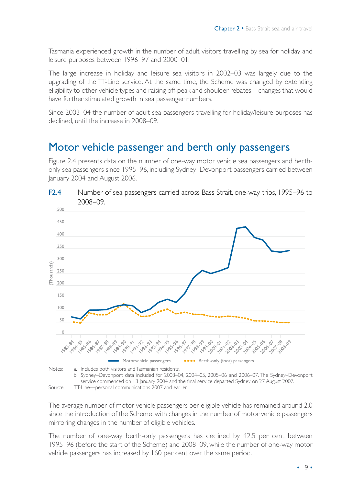Tasmania experienced growth in the number of adult visitors travelling by sea for holiday and leisure purposes between 1996–97 and 2000–01.

The large increase in holiday and leisure sea visitors in 2002–03 was largely due to the upgrading of the TT-Line service. At the same time, the Scheme was changed by extending eligibility to other vehicle types and raising off-peak and shoulder rebates—changes that would have further stimulated growth in sea passenger numbers.

Since 2003–04 the number of adult sea passengers travelling for holiday/leisure purposes has declined, until the increase in 2008–09.

### Motor vehicle passenger and berth only passengers

Figure 2.4 presents data on the number of one-way motor vehicle sea passengers and berthonly sea passengers since 1995–96, including Sydney–Devonport passengers carried between January 2004 and August 2006.



The average number of motor vehicle passengers per eligible vehicle has remained around 2.0 since the introduction of the Scheme, with changes in the number of motor vehicle passengers mirroring changes in the number of eligible vehicles.

The number of one-way berth-only passengers has declined by 42.5 per cent between 1995–96 (before the start of the Scheme) and 2008–09, while the number of one-way motor vehicle passengers has increased by 160 per cent over the same period.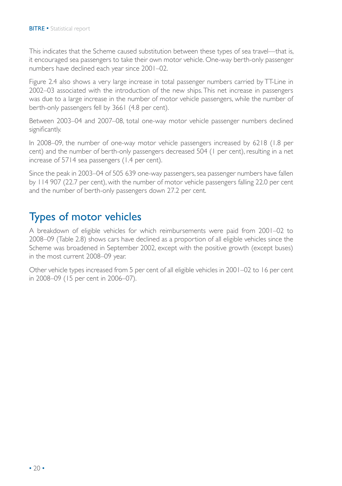This indicates that the Scheme caused substitution between these types of sea travel—that is, it encouraged sea passengers to take their own motor vehicle. One-way berth-only passenger numbers have declined each year since 2001–02.

Figure 2.4 also shows a very large increase in total passenger numbers carried by TT-Line in 2002–03 associated with the introduction of the new ships. This net increase in passengers was due to a large increase in the number of motor vehicle passengers, while the number of berth-only passengers fell by 3661 (4.8 per cent).

Between 2003–04 and 2007–08, total one-way motor vehicle passenger numbers declined significantly.

In 2008–09, the number of one-way motor vehicle passengers increased by 6218 (1.8 per cent) and the number of berth-only passengers decreased 504 (1 per cent), resulting in a net increase of 5714 sea passengers (1.4 per cent).

Since the peak in 2003–04 of 505 639 one-way passengers, sea passenger numbers have fallen by 114 907 (22.7 per cent), with the number of motor vehicle passengers falling 22.0 per cent and the number of berth-only passengers down 27.2 per cent.

### Types of motor vehicles

A breakdown of eligible vehicles for which reimbursements were paid from 2001–02 to 2008–09 (Table 2.8) shows cars have declined as a proportion of all eligible vehicles since the Scheme was broadened in September 2002, except with the positive growth (except buses) in the most current 2008–09 year.

Other vehicle types increased from 5 per cent of all eligible vehicles in 2001–02 to 16 per cent in 2008–09 (15 per cent in 2006–07).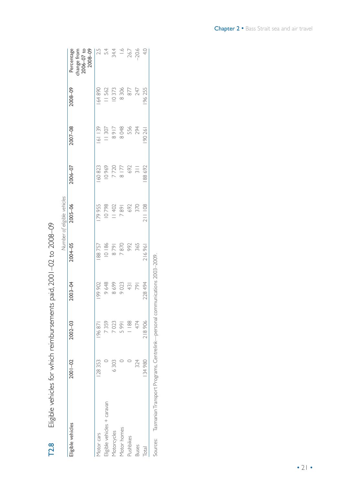|                             |         |             |             |         | Number of eligible vehicles |                |             |         |                                                            |
|-----------------------------|---------|-------------|-------------|---------|-----------------------------|----------------|-------------|---------|------------------------------------------------------------|
| Eligible vehicles           | 2001-02 | $2002 - 03$ | $2003 - 04$ | 2004-05 | $2005 - 06$                 | 2006-07        | $2007 - 08$ | 2008-09 | $2008 - 09$<br>change from<br>Percentage<br>$2006 - 07$ to |
| Motor cars                  | 128353  | 196871      | 199902      | 188757  | 79955                       | 160823         | 161139      | 164890  |                                                            |
| Eligible vehicles + caravan |         | 7359        | 9648        | 10186   | 10798                       | 10969          | 11307       | 11562   | $2.5$<br>5.4                                               |
| Motorcycles                 | 6303    | 7023        | 8699        | 1628    | 11402                       | 7720           | 8917        | 10373   | 34.4                                                       |
| Motor homes                 |         | 5991        | 9023        | 7870    | 1687                        | 8 177          | 8048        | 8306    |                                                            |
| Pushbikes                   |         | 188         | 43          | 992     | 692                         | 692            | 556         | 877     | $1.6$<br>26.7                                              |
| <b>Buses</b>                | 324     | 474         | 791         | 365     | 370                         | $\overline{3}$ | 294         | 247     | $-20.6$                                                    |
| Total                       | 134980  | 218906      | 228 494     | 216961  | 211 108                     | 88 692         | 90 261      | 196255  | 4.0                                                        |

Eligible vehicles for which reimbursements paid, 2001-02 to 2008-09 T2.8 Eligible vehicles for which reimbursements paid, 2001–02 to 2008–09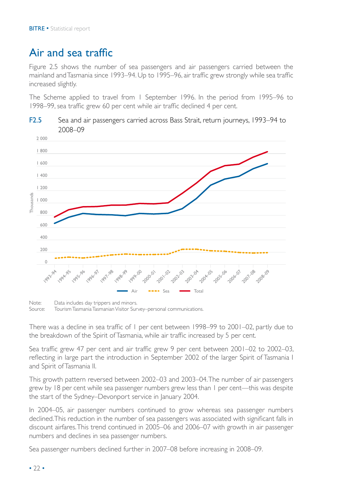## Air and sea traffic

Figure 2.5 shows the number of sea passengers and air passengers carried between the mainland and Tasmania since 1993–94. Up to 1995–96, air traffic grew strongly while sea traffic increased slightly.

The Scheme applied to travel from 1 September 1996. In the period from 1995–96 to 1998–99, sea traffic grew 60 per cent while air traffic declined 4 per cent.





Note: Data includes day trippers and minors. Source: Tourism Tasmania Tasmanian Visitor Survey–personal communications.

There was a decline in sea traffic of 1 per cent between 1998–99 to 2001–02, partly due to the breakdown of the Spirit of Tasmania, while air traffic increased by 5 per cent.

Sea traffic grew 47 per cent and air traffic grew 9 per cent between 2001–02 to 2002–03, reflecting in large part the introduction in September 2002 of the larger Spirit of Tasmania I and Spirit of Tasmania II.

This growth pattern reversed between 2002–03 and 2003–04. The number of air passengers grew by 18 per cent while sea passenger numbers grew less than 1 per cent—this was despite the start of the Sydney–Devonport service in January 2004.

In 2004–05, air passenger numbers continued to grow whereas sea passenger numbers declined. This reduction in the number of sea passengers was associated with significant falls in discount airfares. This trend continued in 2005–06 and 2006–07 with growth in air passenger numbers and declines in sea passenger numbers.

Sea passenger numbers declined further in 2007–08 before increasing in 2008–09.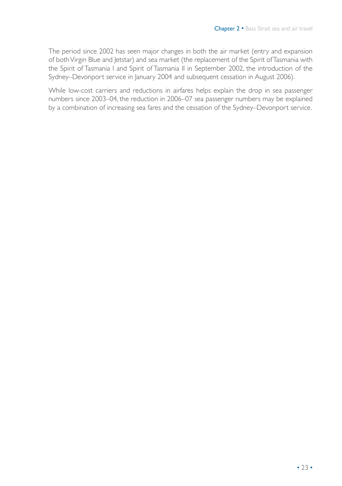The period since 2002 has seen major changes in both the air market (entry and expansion of both Virgin Blue and Jetstar) and sea market (the replacement of the Spirit of Tasmania with the Spirit of Tasmania I and Spirit of Tasmania II in September 2002, the introduction of the Sydney–Devonport service in January 2004 and subsequent cessation in August 2006).

While low-cost carriers and reductions in airfares helps explain the drop in sea passenger numbers since 2003–04, the reduction in 2006–07 sea passenger numbers may be explained by a combination of increasing sea fares and the cessation of the Sydney–Devonport service.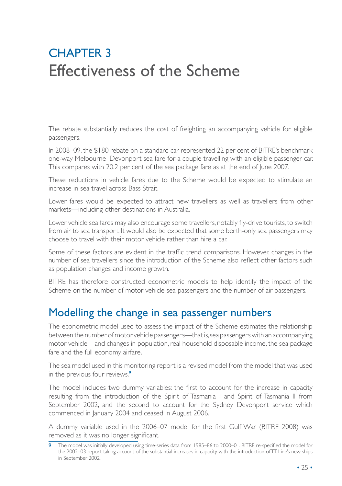## **CHAPTER 3** Effectiveness of the Scheme

The rebate substantially reduces the cost of freighting an accompanying vehicle for eligible passengers.

In 2008–09, the \$180 rebate on a standard car represented 22 per cent of BITRE's benchmark one-way Melbourne–Devonport sea fare for a couple travelling with an eligible passenger car. This compares with 20.2 per cent of the sea package fare as at the end of June 2007.

These reductions in vehicle fares due to the Scheme would be expected to stimulate an increase in sea travel across Bass Strait.

Lower fares would be expected to attract new travellers as well as travellers from other markets—including other destinations in Australia.

Lower vehicle sea fares may also encourage some travellers, notably fly-drive tourists, to switch from air to sea transport. It would also be expected that some berth-only sea passengers may choose to travel with their motor vehicle rather than hire a car.

Some of these factors are evident in the traffic trend comparisons. However, changes in the number of sea travellers since the introduction of the Scheme also reflect other factors such as population changes and income growth.

BITRE has therefore constructed econometric models to help identify the impact of the Scheme on the number of motor vehicle sea passengers and the number of air passengers.

### Modelling the change in sea passenger numbers

The econometric model used to assess the impact of the Scheme estimates the relationship between the number of motor vehicle passengers—that is, sea passengers with an accompanying motor vehicle—and changes in population, real household disposable income, the sea package fare and the full economy airfare.

The sea model used in this monitoring report is a revised model from the model that was used in the previous four reviews.<sup>9</sup>

The model includes two dummy variables: the first to account for the increase in capacity resulting from the introduction of the Spirit of Tasmania I and Spirit of Tasmania II from September 2002, and the second to account for the Sydney–Devonport service which commenced in January 2004 and ceased in August 2006.

A dummy variable used in the 2006–07 model for the first Gulf War (BITRE 2008) was removed as it was no longer significant.

<sup>9</sup> The model was initially developed using time-series data from 1985–86 to 2000–01. BITRE re-specified the model for the 2002–03 report taking account of the substantial increases in capacity with the introduction of TT-Line's new ships in September 2002.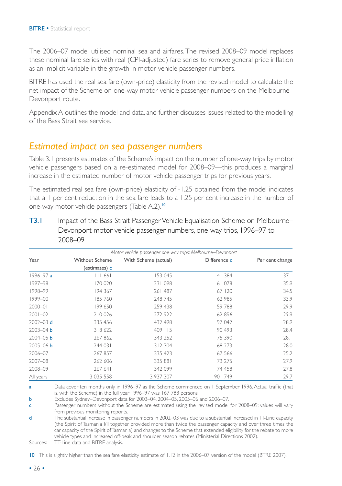The 2006–07 model utilised nominal sea and airfares. The revised 2008–09 model replaces these nominal fare series with real (CPI-adjusted) fare series to remove general price inflation as an implicit variable in the growth in motor vehicle passenger numbers.

BITRE has used the real sea fare (own-price) elasticity from the revised model to calculate the net impact of the Scheme on one-way motor vehicle passenger numbers on the Melbourne– Devonport route.

Appendix A outlines the model and data, and further discusses issues related to the modelling of the Bass Strait sea service.

#### *Estimated impact on sea passenger numbers*

Table 3.1 presents estimates of the Scheme's impact on the number of one-way trips by motor vehicle passengers based on a re-estimated model for 2008–09—this produces a marginal increase in the estimated number of motor vehicle passenger trips for previous years.

The estimated real sea fare (own-price) elasticity of -1.25 obtained from the model indicates that a 1 per cent reduction in the sea fare leads to a 1.25 per cent increase in the number of one-way motor vehicle passengers (Table A.2).<sup>10</sup>

| T3.1 | Impact of the Bass Strait Passenger Vehicle Equalisation Scheme on Melbourne– |
|------|-------------------------------------------------------------------------------|
|      | Devonport motor vehicle passenger numbers, one-way trips, 1996-97 to          |
|      | 2008–09                                                                       |

|               |                       | Motor vehicle passenger one-way trips: Melbourne–Devonport |              |                 |
|---------------|-----------------------|------------------------------------------------------------|--------------|-----------------|
| Year          | <b>Without Scheme</b> | With Scheme (actual)                                       | Difference c | Per cent change |
|               | (estimates) c         |                                                            |              |                 |
| 1996–97 a     | III 661               | 153 045                                                    | 41 384       | 37.1            |
| 1997-98       | 170 020               | 231 098                                                    | 61078        | 35.9            |
| 1998-99       | 194 367               | 261 487                                                    | 67   20      | 34.5            |
| 1999-00       | 185760                | 248 745                                                    | 62 985       | 33.9            |
| $2000 - 01$   | 199 650               | 259 438                                                    | 59788        | 29.9            |
| $2001 - 02$   | 210 026               | 272 922                                                    | 62 896       | 29.9            |
| $2002 - 03$ d | 335 456               | 432 498                                                    | 97 042       | 28.9            |
| $2003 - 04$ b | 318 622               | 409 115                                                    | 90 493       | 28.4            |
| $2004 - 05$ b | 267 862               | 343 252                                                    | 75 390       | 28.1            |
| $2005 - 06$ b | 244 031               | 312 304                                                    | 68 273       | 28.0            |
| 2006-07       | 267 857               | 335 423                                                    | 67 566       | 25.2            |
| 2007-08       | 262 606               | 335 881                                                    | 73 275       | 27.9            |
| 2008-09       | 267 641               | 342 099                                                    | 74 458       | 27.8            |
| All years     | 3 0 3 5 5 5 8         | 3 937 307                                                  | 901749       | 29.7            |

a Data cover ten months only in 1996–97 as the Scheme commenced on 1 September 1996. Actual traffic (that is, with the Scheme) in the full year 1996–97 was 167 788 persons.

b Excludes Sydney–Devonport data for 2003–04, 2004–05, 2005–06 and 2006–07.

c Passenger numbers without the Scheme are estimated using the revised model for 2008–09; values will vary from previous monitoring reports.

d The substantial increase in passenger numbers in 2002–03 was due to a substantial increased in TT-Line capacity (the Spirit of Tasmania I/II together provided more than twice the passenger capacity and over three times the car capacity of the Spirit of Tasmania) and changes to the Scheme that extended eligibility for the rebate to more vehicle types and increased off-peak and shoulder season rebates (Ministerial Directions 2002).

Sources: TT-Line data and BITRE analysis.

10 This is slightly higher than the sea fare elasticity estimate of 1.12 in the 2006–07 version of the model (BTRE 2007).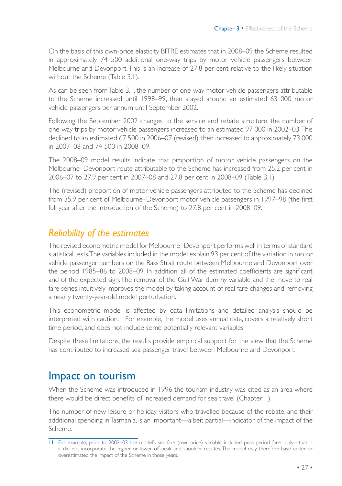On the basis of this own-price elasticity, BITRE estimates that in 2008–09 the Scheme resulted in approximately 74 500 additional one-way trips by motor vehicle passengers between Melbourne and Devonport. This is an increase of 27.8 per cent relative to the likely situation without the Scheme (Table 3.1).

As can be seen from Table 3.1, the number of one-way motor vehicle passengers attributable to the Scheme increased until 1998–99, then stayed around an estimated 63 000 motor vehicle passengers per annum until September 2002.

Following the September 2002 changes to the service and rebate structure, the number of one-way trips by motor vehicle passengers increased to an estimated 97 000 in 2002–03. This declined to an estimated 67 500 in 2006–07 (revised), then increased to approximately 73 000 in 2007–08 and 74 500 in 2008–09.

The 2008–09 model results indicate that proportion of motor vehicle passengers on the Melbourne–Devonport route attributable to the Scheme has increased from 25.2 per cent in 2006–07 to 27.9 per cent in 2007–08 and 27.8 per cent in 2008–09 (Table 3.1).

The (revised) proportion of motor vehicle passengers attributed to the Scheme has declined from 35.9 per cent of Melbourne–Devonport motor vehicle passengers in 1997–98 (the first full year after the introduction of the Scheme) to 27.8 per cent in 2008–09.

### *Reliability of the estimates*

The revised econometric model for Melbourne–Devonport performs well in terms of standard statistical tests. The variables included in the model explain 93 per cent of the variation in motor vehicle passenger numbers on the Bass Strait route between Melbourne and Devonport over the period 1985–86 to 2008–09. In addition, all of the estimated coefficients are significant and of the expected sign. The removal of the Gulf War dummy variable and the move to real fare series intuitively improves the model by taking account of real fare changes and removing a nearly twenty-year-old model perturbation.

This econometric model is affected by data limitations and detailed analysis should be interpreted with caution.<sup>11</sup> For example, the model uses annual data, covers a relatively short time period, and does not include some potentially relevant variables.

Despite these limitations, the results provide empirical support for the view that the Scheme has contributed to increased sea passenger travel between Melbourne and Devonport.

### Impact on tourism

When the Scheme was introduced in 1996 the tourism industry was cited as an area where there would be direct benefits of increased demand for sea travel (Chapter 1).

The number of new leisure or holiday visitors who travelled because of the rebate, and their additional spending in Tasmania, is an important—albeit partial—indicator of the impact of the Scheme.

<sup>11</sup> For example, prior to 2002–03 the model's sea fare (own-price) variable included peak-period fares only—that is it did not incorporate the higher or lower off-peak and shoulder rebates. The model may therefore have under or overestimated the impact of the Scheme in those years.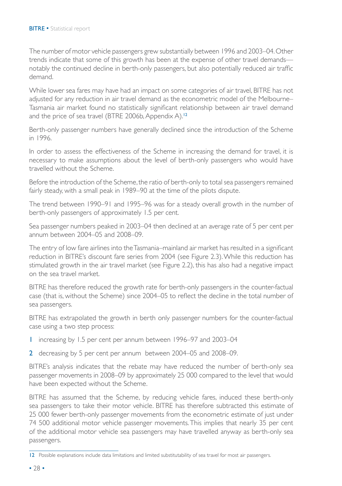The number of motor vehicle passengers grew substantially between 1996 and 2003–04. Other trends indicate that some of this growth has been at the expense of other travel demands notably the continued decline in berth-only passengers, but also potentially reduced air traffic demand.

While lower sea fares may have had an impact on some categories of air travel, BITRE has not adjusted for any reduction in air travel demand as the econometric model of the Melbourne– Tasmania air market found no statistically significant relationship between air travel demand and the price of sea travel (BTRE 2006b, Appendix A).<sup>12</sup>

Berth-only passenger numbers have generally declined since the introduction of the Scheme in 1996.

In order to assess the effectiveness of the Scheme in increasing the demand for travel, it is necessary to make assumptions about the level of berth-only passengers who would have travelled without the Scheme.

Before the introduction of the Scheme, the ratio of berth-only to total sea passengers remained fairly steady, with a small peak in 1989–90 at the time of the pilots dispute.

The trend between 1990–91 and 1995–96 was for a steady overall growth in the number of berth-only passengers of approximately 1.5 per cent.

Sea passenger numbers peaked in 2003–04 then declined at an average rate of 5 per cent per annum between 2004–05 and 2008–09.

The entry of low fare airlines into the Tasmania–mainland air market has resulted in a significant reduction in BITRE's discount fare series from 2004 (see Figure 2.3). While this reduction has stimulated growth in the air travel market (see Figure 2.2), this has also had a negative impact on the sea travel market.

BITRE has therefore reduced the growth rate for berth-only passengers in the counter-factual case (that is, without the Scheme) since 2004–05 to reflect the decline in the total number of sea passengers.

BITRE has extrapolated the growth in berth only passenger numbers for the counter-factual case using a two step process:

- 1 increasing by 1.5 per cent per annum between 1996–97 and 2003–04
- 2 decreasing by 5 per cent per annum between 2004–05 and 2008–09.

BITRE's analysis indicates that the rebate may have reduced the number of berth-only sea passenger movements in 2008–09 by approximately 25 000 compared to the level that would have been expected without the Scheme.

BITRE has assumed that the Scheme, by reducing vehicle fares, induced these berth-only sea passengers to take their motor vehicle. BITRE has therefore subtracted this estimate of 25 000 fewer berth-only passenger movements from the econometric estimate of just under 74 500 additional motor vehicle passenger movements. This implies that nearly 35 per cent of the additional motor vehicle sea passengers may have travelled anyway as berth-only sea passengers.

<sup>12</sup> Possible explanations include data limitations and limited substitutability of sea travel for most air passengers.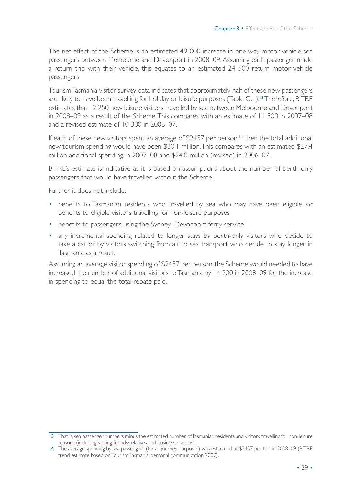The net effect of the Scheme is an estimated 49 000 increase in one-way motor vehicle sea passengers between Melbourne and Devonport in 2008–09. Assuming each passenger made a return trip with their vehicle, this equates to an estimated 24 500 return motor vehicle passengers.

Tourism Tasmania visitor survey data indicates that approximately half of these new passengers are likely to have been travelling for holiday or leisure purposes (Table C.1).<sup>13</sup> Therefore, BITRE estimates that 12 250 new leisure visitors travelled by sea between Melbourne and Devonport in 2008–09 as a result of the Scheme. This compares with an estimate of 11 500 in 2007–08 and a revised estimate of 10 300 in 2006–07.

If each of these new visitors spent an average of  $$2457$  per person,<sup>14</sup> then the total additional new tourism spending would have been \$30.1 million. This compares with an estimated \$27.4 million additional spending in 2007–08 and \$24.0 million (revised) in 2006–07.

BITRE's estimate is indicative as it is based on assumptions about the number of berth-only passengers that would have travelled without the Scheme.

Further, it does not include:

- benefits to Tasmanian residents who travelled by sea who may have been eligible, or benefits to eligible visitors travelling for non-leisure purposes
- benefits to passengers using the Sydney–Devonport ferry service
- any incremental spending related to longer stays by berth-only visitors who decide to take a car, or by visitors switching from air to sea transport who decide to stay longer in Tasmania as a result.

Assuming an average visitor spending of \$2457 per person, the Scheme would needed to have increased the number of additional visitors to Tasmania by 14 200 in 2008–09 for the increase in spending to equal the total rebate paid.

<sup>13</sup> That is, sea passenger numbers minus the estimated number of Tasmanian residents and visitors travelling for non-leisure reasons (including visiting friends/relatives and business reasons).

<sup>14</sup> The average spending by sea passengers (for all journey purposes) was estimated at \$2457 per trip in 2008–09 (BITRE trend estimate based on Tourism Tasmania, personal communication 2007).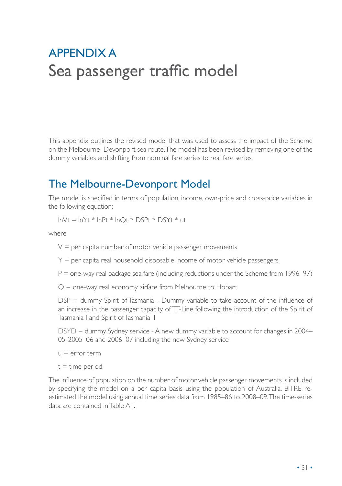## Appendix A Sea passenger traffic model

This appendix outlines the revised model that was used to assess the impact of the Scheme on the Melbourne–Devonport sea route. The model has been revised by removing one of the dummy variables and shifting from nominal fare series to real fare series.

## The Melbourne-Devonport Model

The model is specified in terms of population, income, own-price and cross-price variables in the following equation:

 $ln Vt = lnYt * lnPt * lnQt * DSPt * DSYt * ut$ 

where

 $V =$  per capita number of motor vehicle passenger movements

 $Y =$  per capita real household disposable income of motor vehicle passengers

 $P =$  one-way real package sea fare (including reductions under the Scheme from 1996–97)

 $Q =$  one-way real economy airfare from Melbourne to Hobart

DSP = dummy Spirit of Tasmania - Dummy variable to take account of the influence of an increase in the passenger capacity of TT-Line following the introduction of the Spirit of Tasmania I and Spirit of Tasmania II

DSYD = dummy Sydney service - A new dummy variable to account for changes in 2004– 05, 2005–06 and 2006–07 including the new Sydney service

 $u \equiv$  error term

 $t =$  time period.

The influence of population on the number of motor vehicle passenger movements is included by specifying the model on a per capita basis using the population of Australia. BITRE reestimated the model using annual time series data from 1985–86 to 2008–09. The time-series data are contained in Table A1.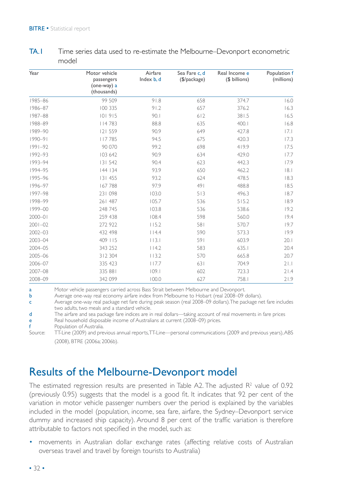| Year        | Motor vehicle<br>passengers<br>(one-way) a | Airfare<br>Index b, d | Sea Fare c, d<br>$(\frac{1}{2})package)$ | Real Income e<br>(\$ billions) | Population f<br>(millions) |
|-------------|--------------------------------------------|-----------------------|------------------------------------------|--------------------------------|----------------------------|
|             | (thousands)                                |                       |                                          |                                |                            |
| 1985-86     | 99 509                                     | 91.8                  | 658                                      | 374.7                          | 16.0                       |
| 1986-87     | 100 335                                    | 91.2                  | 657                                      | 376.2                          | 16.3                       |
| 1987-88     | 101915                                     | 90.1                  | 612                                      | 381.5                          | 16.5                       |
| 1988-89     | 4 7 8 3                                    | 88.8                  | 635                                      | 400.1                          | 16.8                       |
| 1989-90     | 121 559                                    | 90.9                  | 649                                      | 427.8                          | 7.1                        |
| $1990 - 91$ | 117785                                     | 94.5                  | 675                                      | 420.3                          | 17.3                       |
| $1991 - 92$ | 90 070                                     | 99.2                  | 698                                      | 419.9                          | 17.5                       |
| 1992-93     | 103 642                                    | 90.9                  | 634                                      | 429.0                          | 17.7                       |
| 1993-94     | 131 542                                    | 90.4                  | 623                                      | 442.3                          | 17.9                       |
| 1994-95     | 144 134                                    | 93.9                  | 650                                      | 462.2                          | 8.1                        |
| 1995-96     | 131 455                                    | 93.2                  | 624                                      | 478.5                          | 18.3                       |
| 1996-97     | 167788                                     | 97.9                  | 491                                      | 488.8                          | 18.5                       |
| 1997-98     | 231 098                                    | 103.0                 | 513                                      | 496.3                          | 18.7                       |
| 1998-99     | 261 487                                    | 105.7                 | 536                                      | 515.2                          | 18.9                       |
| 1999-00     | 248 745                                    | 103.8                 | 536                                      | 538.6                          | 19.2                       |
| $2000 - 01$ | 259 438                                    | 108.4                 | 598                                      | 560.0                          | 19.4                       |
| $2001 - 02$ | 272 922                                    | 115.2                 | 581                                      | 570.7                          | 19.7                       |
| $2002 - 03$ | 432 498                                    | 114.4                 | 590                                      | 573.3                          | 19.9                       |
| 2003-04     | 409 115                                    | 113.1                 | 591                                      | 603.9                          | 20.1                       |
| 2004-05     | 343 252                                    | 114.2                 | 583                                      | 635.1                          | 20.4                       |
| 2005-06     | 312 304                                    | 113.2                 | 570                                      | 665.8                          | 20.7                       |
| 2006-07     | 335 423                                    | 117.7                 | 631                                      | 704.9                          | 21.1                       |
| 2007-08     | 335 881                                    | 109.1                 | 602                                      | 723.3                          | 21.4                       |
| 2008-09     | 342 099                                    | 100.0                 | 627                                      | 758.1                          | 21.9                       |

TA.1 Time series data used to re-estimate the Melbourne–Devonport econometric model

a Motor vehicle passengers carried across Bass Strait between Melbourne and Devonport.

b Average one-way real economy airfare index from Melbourne to Hobart (real 2008–09 dollars).

c Average one-way real package net fare during peak season (real 2008–09 dollars). The package net fare includes two adults, two meals and a standard vehicle.

d The airfare and sea package fare indices are in real dollars—taking account of real movements in fare prices

e Real household disposable income of Australians at current (2008–09) prices.

f Population of Australia.

Source: TT-Line (2009) and previous annual reports, TT-Line—personal communications (2009 and previous years), ABS (2008), BTRE (2006a; 2006b).

### Results of the Melbourne-Devonport model

The estimated regression results are presented in Table A2. The adjusted  $R<sup>2</sup>$  value of 0.92 (previously 0.95) suggests that the model is a good fit. It indicates that 92 per cent of the variation in motor vehicle passenger numbers over the period is explained by the variables included in the model (population, income, sea fare, airfare, the Sydney–Devonport service dummy and increased ship capacity). Around 8 per cent of the traffic variation is therefore attributable to factors not specified in the model, such as:

• movements in Australian dollar exchange rates (affecting relative costs of Australian overseas travel and travel by foreign tourists to Australia)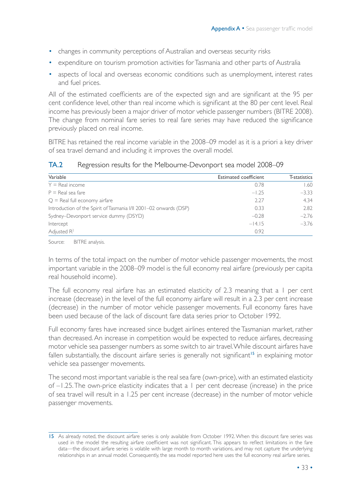- changes in community perceptions of Australian and overseas security risks
- expenditure on tourism promotion activities for Tasmania and other parts of Australia
- aspects of local and overseas economic conditions such as unemployment, interest rates and fuel prices.

All of the estimated coefficients are of the expected sign and are significant at the 95 per cent confidence level, other than real income which is significant at the 80 per cent level. Real income has previously been a major driver of motor vehicle passenger numbers (BITRE 2008). The change from nominal fare series to real fare series may have reduced the significance previously placed on real income.

BITRE has retained the real income variable in the 2008–09 model as it is a priori a key driver of sea travel demand and including it improves the overall model.

| Variable                                                          | Estimated coefficient | T-statistics |
|-------------------------------------------------------------------|-----------------------|--------------|
| $Y = Real income$                                                 | 0.78                  | 1.60         |
| $P = Real sea fare$                                               | $-1.25$               | $-3.33$      |
| $Q =$ Real full economy airfare                                   | 2.27                  | 4.34         |
| Introduction of the Spirit of Tasmania I/II 2001-02 onwards (DSP) | 0.33                  | 2.82         |
| Sydney-Devonport service dummy (DSYD)                             | $-0.28$               | $-2.76$      |
| Intercept                                                         | $-14.15$              | $-3.76$      |
| Adjusted $R^2$                                                    | 0.92                  |              |

#### TA.2 Regression results for the Melbourne-Devonport sea model 2008–09

Source: BITRE analysis.

In terms of the total impact on the number of motor vehicle passenger movements, the most important variable in the 2008–09 model is the full economy real airfare (previously per capita real household income).

The full economy real airfare has an estimated elasticity of 2.3 meaning that a 1 per cent increase (decrease) in the level of the full economy airfare will result in a 2.3 per cent increase (decrease) in the number of motor vehicle passenger movements. Full economy fares have been used because of the lack of discount fare data series prior to October 1992.

Full economy fares have increased since budget airlines entered the Tasmanian market, rather than decreased. An increase in competition would be expected to reduce airfares, decreasing motor vehicle sea passenger numbers as some switch to air travel. While discount airfares have fallen substantially, the discount airfare series is generally not significant<sup>15</sup> in explaining motor vehicle sea passenger movements.

The second most important variable is the real sea fare (own-price), with an estimated elasticity of –1.25. The own-price elasticity indicates that a 1 per cent decrease (increase) in the price of sea travel will result in a 1.25 per cent increase (decrease) in the number of motor vehicle passenger movements.

<sup>15</sup> As already noted, the discount airfare series is only available from October 1992. When this discount fare series was used in the model the resulting airfare coefficient was not significant. This appears to reflect limitations in the fare data—the discount airfare series is volatile with large month to month variations, and may not capture the underlying relationships in an annual model. Consequently, the sea model reported here uses the full economy real airfare series.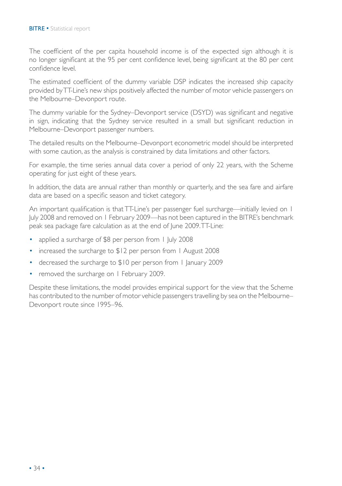The coefficient of the per capita household income is of the expected sign although it is no longer significant at the 95 per cent confidence level, being significant at the 80 per cent confidence level.

The estimated coefficient of the dummy variable DSP indicates the increased ship capacity provided by TT-Line's new ships positively affected the number of motor vehicle passengers on the Melbourne–Devonport route.

The dummy variable for the Sydney–Devonport service (DSYD) was significant and negative in sign, indicating that the Sydney service resulted in a small but significant reduction in Melbourne–Devonport passenger numbers.

The detailed results on the Melbourne–Devonport econometric model should be interpreted with some caution, as the analysis is constrained by data limitations and other factors.

For example, the time series annual data cover a period of only 22 years, with the Scheme operating for just eight of these years.

In addition, the data are annual rather than monthly or quarterly, and the sea fare and airfare data are based on a specific season and ticket category.

An important qualification is that TT-Line's per passenger fuel surcharge—initially levied on 1 July 2008 and removed on 1 February 2009—has not been captured in the BITRE's benchmark peak sea package fare calculation as at the end of June 2009. TT-Line:

- applied a surcharge of \$8 per person from 1 July 2008
- increased the surcharge to \$12 per person from 1 August 2008
- decreased the surcharge to \$10 per person from 1 January 2009
- removed the surcharge on 1 February 2009.

Despite these limitations, the model provides empirical support for the view that the Scheme has contributed to the number of motor vehicle passengers travelling by sea on the Melbourne– Devonport route since 1995–96.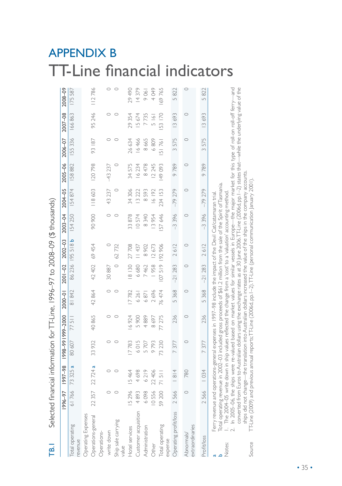## Appendix B TT-Line financial indicators

| -<br>[편                        |                 |                                  | Selected financial information for TI-Line, 1996–97 to 2008–09 (\$ thousands)                                                                                                                                                                                                                                                                                                                                                                                                                                                                                                                                                                                                                                                                            |          |         |                       |                  |                 |          |             |               |         |         |
|--------------------------------|-----------------|----------------------------------|----------------------------------------------------------------------------------------------------------------------------------------------------------------------------------------------------------------------------------------------------------------------------------------------------------------------------------------------------------------------------------------------------------------------------------------------------------------------------------------------------------------------------------------------------------------------------------------------------------------------------------------------------------------------------------------------------------------------------------------------------------|----------|---------|-----------------------|------------------|-----------------|----------|-------------|---------------|---------|---------|
|                                | 16-966          | 86-7661                          | 0007-666166-866                                                                                                                                                                                                                                                                                                                                                                                                                                                                                                                                                                                                                                                                                                                                          |          | 2000-01 | $2001 - 02$           | $2002 - 03$      | 2003-04         | 2004-05  | $2005 - 06$ | 2006-07       | 2007-08 | 2008-09 |
| otal operating<br>evenue       | 61766           | 73 325 a                         | 80607                                                                                                                                                                                                                                                                                                                                                                                                                                                                                                                                                                                                                                                                                                                                                    | 77 511   | 81842   |                       | 86 236 195 518 b | 154250          | 154874   | 158882      | 155336        | 166863  | 175587  |
| Operating Expenses             |                 |                                  |                                                                                                                                                                                                                                                                                                                                                                                                                                                                                                                                                                                                                                                                                                                                                          |          |         |                       |                  |                 |          |             |               |         |         |
| Operations-general             | 22 35.          | 22724a                           | 33932                                                                                                                                                                                                                                                                                                                                                                                                                                                                                                                                                                                                                                                                                                                                                    | 40865    | 42864   | 42 402                | 69 454           | 90 900          | 118603   | 120798      | 93 187        | 95 246  | 112786  |
| Operations-                    |                 |                                  |                                                                                                                                                                                                                                                                                                                                                                                                                                                                                                                                                                                                                                                                                                                                                          |          |         |                       |                  |                 |          |             |               |         |         |
| write down                     |                 | $\circ$                          | $\circ$                                                                                                                                                                                                                                                                                                                                                                                                                                                                                                                                                                                                                                                                                                                                                  | $\circ$  | $\circ$ | 30887                 | $\circ$          | $\circ$         | 43 237   | $-43237$    | $\circ$       | $\circ$ | $\circ$ |
| Ship sale carrying<br>value    |                 | $\circ$                          | $\circ$                                                                                                                                                                                                                                                                                                                                                                                                                                                                                                                                                                                                                                                                                                                                                  | $\circ$  | $\circ$ | $\circ$               | 62732            | $\circ$         |          |             | $\circ$       |         | $\circ$ |
| Hotel services                 | Q               | 15464                            | 7783                                                                                                                                                                                                                                                                                                                                                                                                                                                                                                                                                                                                                                                                                                                                                     | 16924    | 17782   | 18130                 | 27708            | 33878           | 34 306   | 34575       | 26634         | 29 354  | 29 490  |
| Customer acquisition           | $\sim$<br>489   | 698<br>4                         | 6015                                                                                                                                                                                                                                                                                                                                                                                                                                                                                                                                                                                                                                                                                                                                                     | 5900     | 6 26 1  | 6680                  | 11437            | <b>10574</b>    | 13 222   | 16234       | 16466         | 15674   | 14379   |
| Administration                 | $\infty$<br>609 | 219<br>$\circ$                   | 5707                                                                                                                                                                                                                                                                                                                                                                                                                                                                                                                                                                                                                                                                                                                                                     | 889<br>4 | 6871    | 7462                  | 8 902            | 340<br>$\infty$ | 8593     | 8478        | 8665          | 7735    | 9061    |
| Other                          | 1055            | 406<br>$\overline{\mathfrak{L}}$ | 9793                                                                                                                                                                                                                                                                                                                                                                                                                                                                                                                                                                                                                                                                                                                                                     | 8697     | 2696    | 1958                  | 12673            | 13954           | 16192    | 12 245      | 6809          | 5161    | 4 0 4 9 |
| Total operating<br>expense     | 59 200          | $\frac{1}{5}$                    | 73230                                                                                                                                                                                                                                                                                                                                                                                                                                                                                                                                                                                                                                                                                                                                                    | 77 275   | 76474   | 519<br>$\overline{0}$ | 192906           | 57 646          | 234 153  | 149093      | 51761         | 153170  | 69765   |
| Operating profit/loss          | 2566            | $\frac{8}{4}$                    | 7377                                                                                                                                                                                                                                                                                                                                                                                                                                                                                                                                                                                                                                                                                                                                                     | 236      | 5368    | $-21283$              | 2612             | $-3396$         | $-79279$ | 9789        | 3575          | 13693   | 5822    |
| extraordinaries<br>Abnormals/  |                 | 780                              | $\circ$                                                                                                                                                                                                                                                                                                                                                                                                                                                                                                                                                                                                                                                                                                                                                  | $\circ$  | $\circ$ | $\circ$               | $\circ$          | $\circ$         | $\circ$  | $\circ$     | $\circ$       | $\circ$ | $\circ$ |
| <b>Profit/loss</b>             | 2566            | 1034                             | 7377                                                                                                                                                                                                                                                                                                                                                                                                                                                                                                                                                                                                                                                                                                                                                     | 236      | 5368    | $-21283$              | 2612             | $-3396$         | $-79279$ | 9789        | 575<br>$\sim$ | 13693   | 5822    |
| Source<br><i><b>Notes:</b></i> |                 |                                  | Total operating revenue in 2002–03 induded gross proceeds of \$61.2 million from the sale of the Spirit ofTasmania.<br>I. The 2004–05 write down in ship values reflected the change from a'cost' to a'valuation' accounting metho<br>converted from Euros to Australian dollars using the exchange rates as at 30 June 2006.TT-Line (2006d, pp.1–2) states that—while the underlying value of the<br>ships did not change—the translation into Australian dollars increased the value of the ships in the company accounts.<br>TT-Line (2009) and previous annual reports;TT-Line (2006d, pp.1–2),TT-Line (personal communication Janu<br>Ferry revenue and operations-general expenses in 1997–98 include the impact of the Devil Cat/catamaran trial. |          |         |                       |                  |                 |          |             |               |         |         |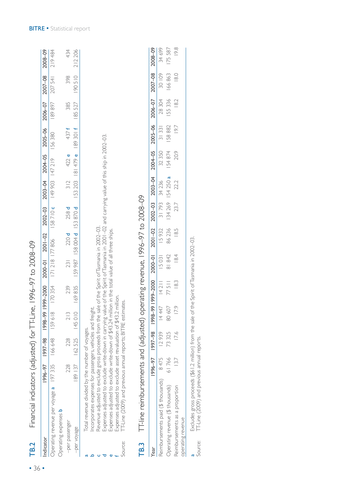| TB.2            | Financial indicators (adjusted) for TT-Line, 1996–97 to 2008–09                                                                                                                                                                                                                                                                                                                                                                                                                                                                                                                                                                                                                        |         |         |                                                                                                                                                                                                                                |       |                                                   |        |                             |                    |        |                                                                                  |        |         |         |
|-----------------|----------------------------------------------------------------------------------------------------------------------------------------------------------------------------------------------------------------------------------------------------------------------------------------------------------------------------------------------------------------------------------------------------------------------------------------------------------------------------------------------------------------------------------------------------------------------------------------------------------------------------------------------------------------------------------------|---------|---------|--------------------------------------------------------------------------------------------------------------------------------------------------------------------------------------------------------------------------------|-------|---------------------------------------------------|--------|-----------------------------|--------------------|--------|----------------------------------------------------------------------------------|--------|---------|---------|
| Indicator       |                                                                                                                                                                                                                                                                                                                                                                                                                                                                                                                                                                                                                                                                                        | 1996-97 |         | $-000$ $-000$ $-000$ $-000$ $-000$ $-000$ $-000$ $-000$ $-000$ $-000$ $-000$ $-000$ $-000$ $-000$ $-000$ $-000$ $-000$ $-000$ $-000$ $-000$ $-000$ $-000$ $-000$ $-000$ $-000$ $-000$ $-000$ $-000$ $-000$ $-000$ $-000$ $-00$ |       |                                                   |        |                             |                    |        | 2000-01 2001-02 2002-03 2003-04 2004-05 2005-06 2006-07 2007-08                  |        |         | 2008-09 |
|                 | Operating revenue per voyage a 197 335                                                                                                                                                                                                                                                                                                                                                                                                                                                                                                                                                                                                                                                 |         | 166 648 |                                                                                                                                                                                                                                |       | IS9 618 I70 354 I71 218 I77 806 I88 710 c 147 219 |        |                             |                    |        | 156380                                                                           | 189897 | 207 541 | 219 484 |
|                 | Operating expenses <b>b</b>                                                                                                                                                                                                                                                                                                                                                                                                                                                                                                                                                                                                                                                            |         |         |                                                                                                                                                                                                                                |       |                                                   |        |                             |                    |        |                                                                                  |        |         |         |
|                 | -per passenger                                                                                                                                                                                                                                                                                                                                                                                                                                                                                                                                                                                                                                                                         | 228     | 228     | 213                                                                                                                                                                                                                            | 239   | 231                                               |        | $220d$ $258d$               | 312                | 422 e  | 437 f                                                                            | 385    | 398     | 434     |
| -per voyage     |                                                                                                                                                                                                                                                                                                                                                                                                                                                                                                                                                                                                                                                                                        | 189 137 |         | $162$ 525 $145$ 010 $169$ 835                                                                                                                                                                                                  |       |                                                   |        | IS9 987 IS8 004 d IS3 870 d |                    |        | 153 203 181 479 e 189 301 f 185 527                                              |        | 190510  | 212206  |
| TB.3<br>Source: | Expenses adjusted to exclude write-down in carrying value of the Spirit of Tasmania in 2001–02 and carrying value of this ship in 2002–03.<br>TT-line reimbursements and (adjusted) operating revenue, 1996-97 to 2008-09<br>Revenue adjusted to exclude gross proceeds from the sale of the Spirit of Tasmania in 2002-03.<br>Expenses adjusted to exclude write-down of \$43.24 million in the total value of all three ships.<br>Expenses adjusted to exclude asset revaluation of \$43.2 million.<br>T-Line (2009) and previous annual reports; BITRE estimates.<br>Incorporates expenses for passengers, vehicles and freight.<br>Total revenue divided by the number of voyages. |         |         |                                                                                                                                                                                                                                |       |                                                   |        |                             |                    |        |                                                                                  |        |         |         |
| Year            |                                                                                                                                                                                                                                                                                                                                                                                                                                                                                                                                                                                                                                                                                        | 1996-97 |         |                                                                                                                                                                                                                                |       |                                                   |        |                             |                    |        | 86-2012 2002-86-2020 900-2002-04 2002-04 2002-04 2004-05 2004-05 2004-05 2005-68 |        |         | 2008-09 |
|                 | Reimbursements paid (\$ thousands)                                                                                                                                                                                                                                                                                                                                                                                                                                                                                                                                                                                                                                                     | 8475    | 12939   |                                                                                                                                                                                                                                |       | $1447$ $14211$ $15031$ $15932$                    |        |                             | 31 793 34 236      | 32 350 | 31331                                                                            | 28 304 | 30 109  | 34 699  |
|                 | Operating revenue (\$ thousands)                                                                                                                                                                                                                                                                                                                                                                                                                                                                                                                                                                                                                                                       | 61766   | 73325   | 80 607                                                                                                                                                                                                                         | 77511 | 81 842                                            | 86 236 |                             | $134269$ $154250a$ | 154874 | 158882                                                                           | 155336 | 166863  | 175587  |

• 36 •

Excludes gross proceeds (\$61.2 million) from the sale of the Spirit of Tasmania in 2002–03.<br>TT-Line (2009) and previous annual reports. Excludes gross proceeds (\$61.2 million) from the sale of the Spirit of Tasmania in 2002–03.

13.7 17.6 17.9 18.3 18.4 18.5 23.7 22.2 20.9 19.7 18.2 18.0 19.8

23.7

 $18.5$ 

 $18.4$ 

 $18.3$ 

 $179$ 

 $17.6$ 

 $13.7$ 

 $22.2$ 

 $19.8$ 

 $18.0$ 

 $18.2$ 

 $19.7$ 

20.9

Reimbursements as a proportion

Reimbursements as a proportion

operating revenue

operating revenue

a<br>Source: Source: TT-Line (2009) and previous annual reports.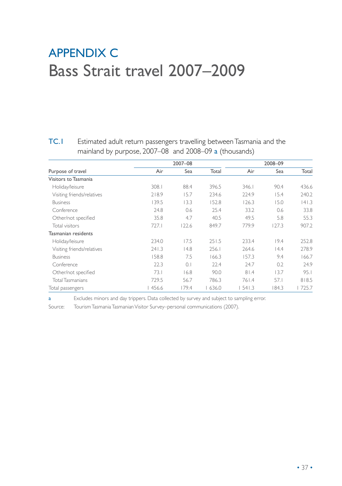## Appendix C Bass Strait travel 2007–2009

TC.1 Estimated adult return passengers travelling between Tasmania and the mainland by purpose, 2007–08 and 2008–09 a (thousands)

|                            |        | 2007-08 |       |       | 2008-09 |       |
|----------------------------|--------|---------|-------|-------|---------|-------|
| Purpose of travel          | Air    | Sea     | Total | Air   | Sea     | Total |
| Visitors to Tasmania       |        |         |       |       |         |       |
| Holiday/leisure            | 308.1  | 88.4    | 396.5 | 346.1 | 90.4    | 436.6 |
| Visiting friends/relatives | 218.9  | 15.7    | 234.6 | 224.9 | 15.4    | 240.2 |
| <b>Business</b>            | 139.5  | 13.3    | 152.8 | 126.3 | 15.0    | 141.3 |
| Conference                 | 24.8   | 0.6     | 25.4  | 33.2  | 0.6     | 33.8  |
| Other/not specified        | 35.8   | 4.7     | 40.5  | 49.5  | 5.8     | 55.3  |
| Total visitors             | 727.1  | 122.6   | 849.7 | 779.9 | 127.3   | 907.2 |
| Tasmanian residents        |        |         |       |       |         |       |
| Holiday/leisure            | 234.0  | 17.5    | 251.5 | 233.4 | 19.4    | 252.8 |
| Visiting friends/relatives | 241.3  | 14.8    | 256.1 | 264.6 | 14.4    | 278.9 |
| <b>Business</b>            | 158.8  | 7.5     | 166.3 | 157.3 | 9.4     | 166.7 |
| Conference                 | 22.3   | 0.1     | 22.4  | 24.7  | 0.2     | 24.9  |
| Other/not specified        | 73.1   | 16.8    | 90.0  | 81.4  | 13.7    | 95.1  |
| <b>Total Tasmanians</b>    | 729.5  | 56.7    | 786.3 | 761.4 | 57.1    | 818.5 |
| Total passengers           | 1456.6 | 179.4   | 636.0 | 541.3 | 84.3    | 725.7 |

a Excludes minors and day trippers. Data collected by survey and subject to sampling error.

Source: Tourism Tasmania Tasmanian Visitor Survey–personal communications (2007).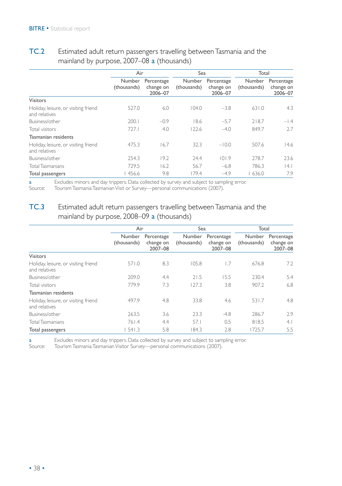|                                                       | Air                   |                                    | Sea                   |                                    | Total                 |                                    |
|-------------------------------------------------------|-----------------------|------------------------------------|-----------------------|------------------------------------|-----------------------|------------------------------------|
|                                                       | Number<br>(thousands) | Percentage<br>change on<br>2006-07 | Number<br>(thousands) | Percentage<br>change on<br>2006-07 | Number<br>(thousands) | Percentage<br>change on<br>2006-07 |
| <b>Visitors</b>                                       |                       |                                    |                       |                                    |                       |                                    |
| Holiday, leisure, or visiting friend<br>and relatives | 527.0                 | 6.0                                | 104.0                 | $-3.8$                             | 631.0                 | 4.3                                |
| Business/other                                        | 200.1                 | $-0.9$                             | 18.6                  | $-5.7$                             | 218.7                 | $-1.4$                             |
| Total visitors                                        | 727.1                 | 4.0                                | 122.6                 | $-4.0$                             | 849.7                 | 2.7                                |
| Tasmanian residents                                   |                       |                                    |                       |                                    |                       |                                    |
| Holiday, leisure, or visiting friend<br>and relatives | 475.3                 | 16.7                               | 32.3                  | $-10.0$                            | 507.6                 | 14.6                               |
| Business/other                                        | 254.3                 | 19.2                               | 24.4                  | 101.9                              | 278.7                 | 23.6                               |
| <b>Total Tasmanians</b>                               | 729.5                 | 16.2                               | 56.7                  | $-6.8$                             | 786.3                 | 14. I                              |
| Total passengers                                      | 456.6                 | 9.8                                | 179.4                 | $-4.9$                             | 636.0                 | 7.9                                |

#### TC.2 Estimated adult return passengers travelling between Tasmania and the mainland by purpose, 2007–08 a (thousands)

a Excludes minors and day trippers. Data collected by survey and subject to sampling error.<br>Source: Tourism Tasmania Tasmanian Visit or Survey—personal communications (2007).

Tourism Tasmania Tasmanian Visit or Survey—personal communications (2007).

#### TC.3 Estimated adult return passengers travelling between Tasmania and the mainland by purpose, 2008–09 a (thousands)

|                                                       | Air                          |                                    | Sea                   |                                    | Total                        |                                    |
|-------------------------------------------------------|------------------------------|------------------------------------|-----------------------|------------------------------------|------------------------------|------------------------------------|
|                                                       | <b>Number</b><br>(thousands) | Percentage<br>change on<br>2007-08 | Number<br>(thousands) | Percentage<br>change on<br>2007-08 | <b>Number</b><br>(thousands) | Percentage<br>change on<br>2007-08 |
| <b>Visitors</b>                                       |                              |                                    |                       |                                    |                              |                                    |
| Holiday, leisure, or visiting friend<br>and relatives | 571.0                        | 8.3                                | 105.8                 | 1.7                                | 676.8                        | 7.2                                |
| Business/other                                        | 209.0                        | 4.4                                | 21.5                  | 15.5                               | 230.4                        | 5.4                                |
| Total visitors                                        | 779.9                        | 7.3                                | 127.3                 | 3.8                                | 907.2                        | 6.8                                |
| Tasmanian residents                                   |                              |                                    |                       |                                    |                              |                                    |
| Holiday, leisure, or visiting friend<br>and relatives | 497.9                        | 4.8                                | 33.8                  | 4.6                                | 531.7                        | 4.8                                |
| Business/other                                        | 263.5                        | 3.6                                | 23.3                  | $-4.8$                             | 286.7                        | 2.9                                |
| <b>Total Tasmanians</b>                               | 761.4                        | 4.4                                | 57.1                  | 0.5                                | 818.5                        | 4.1                                |
| Total passengers                                      | 541.3                        | 5.8                                | 84.3                  | 2.8                                | 1725.7                       | 5.5                                |

a Excludes minors and day trippers. Data collected by survey and subject to sampling error.<br>Source: Tourism Tasmania Tasmanian Visitor Survey—personal communications (2007).

Source: Tourism Tasmania Tasmanian Visitor Survey—personal communications (2007).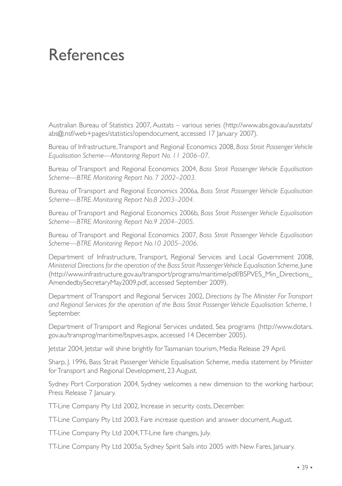## References

Australian Bureau of Statistics 2007, Austats – various series (http://www.abs.gov.au/ausstats/ abs@.nsf/web+pages/statistics?opendocument, accessed 17 January 2007).

Bureau of Infrastructure, Transport and Regional Economics 2008, *Bass Strait Passenger Vehicle Equalisation Scheme—Monitoring Report No. 11 2006–07*.

Bureau of Transport and Regional Economics 2004, *Bass Strait Passenger Vehicle Equalisation Scheme—BTRE Monitoring Report No. 7 2002–2003*.

Bureau of Transport and Regional Economics 2006a, *Bass Strait Passenger Vehicle Equalisation Scheme—BTRE Monitoring Report No.8 2003–2004*.

Bureau of Transport and Regional Economics 2006b, *Bass Strait Passenger Vehicle Equalisation Scheme—BTRE Monitoring Report No.9 2004–2005*.

Bureau of Transport and Regional Economics 2007, *Bass Strait Passenger Vehicle Equalisation Scheme—BTRE Monitoring Report No.10 2005–2006*.

Department of Infrastructure, Transport, Regional Services and Local Government 2008, *Ministerial Directions for the operation of the Bass Strait Passenger Vehicle Equalisation Scheme*, June (http://www.infrastructure.gov.au/transport/programs/maritime/pdf/BSPVES\_Min\_Directions\_ AmendedbySecretaryMay2009.pdf, accessed September 2009).

Department of Transport and Regional Services 2002, *Directions by The Minister For Transport and Regional Services for the operation of the Bass Strait Passenger Vehicle Equalisation Scheme*, 1 September.

Department of Transport and Regional Services undated, Sea programs (http://www.dotars. gov.au/transprog/maritime/bspves.aspx, accessed 14 December 2005).

Jetstar 2004, Jetstar will shine brightly for Tasmanian tourism, Media Release 29 April.

Sharp, J. 1996, Bass Strait Passenger Vehicle Equalisation Scheme, media statement by Minister for Transport and Regional Development, 23 August.

Sydney Port Corporation 2004, Sydney welcomes a new dimension to the working harbour, Press Release 7 January.

TT-Line Company Pty Ltd 2002, Increase in security costs, December.

TT-Line Company Pty Ltd 2003, Fare increase question and answer document, August.

TT-Line Company Pty Ltd 2004, TT-Line fare changes, July.

TT-Line Company Pty Ltd 2005a, Sydney Spirit Sails into 2005 with New Fares, January.